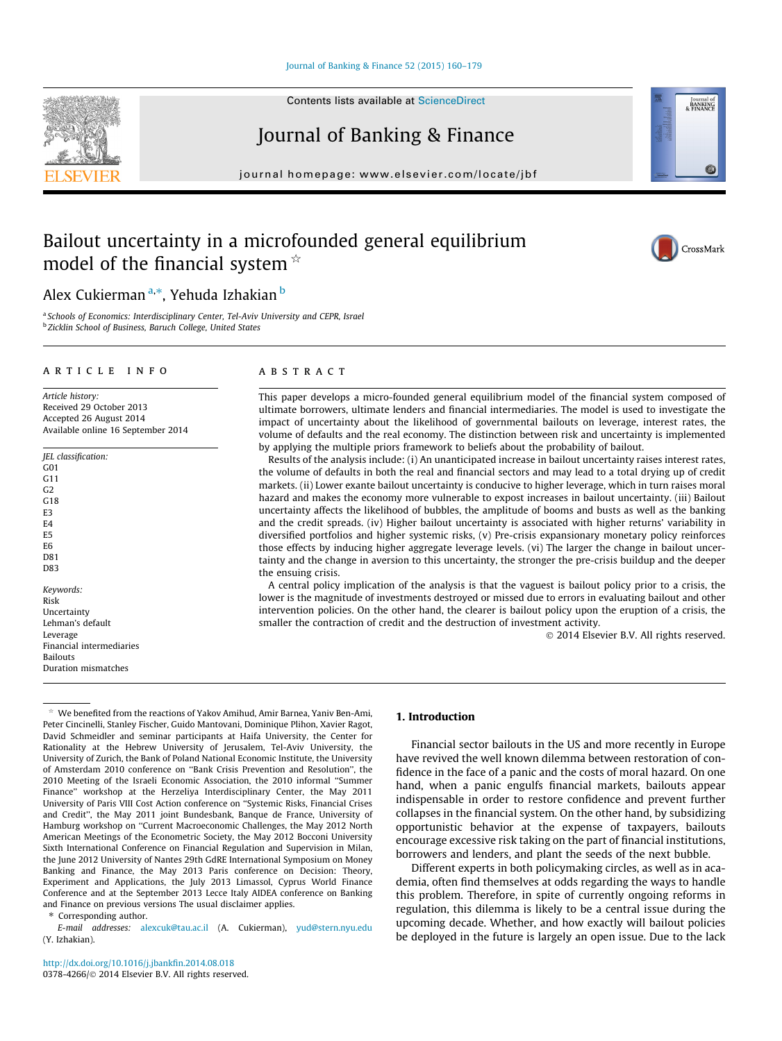#### [Journal of Banking & Finance 52 \(2015\) 160–179](http://dx.doi.org/10.1016/j.jbankfin.2014.08.018)

Contents lists available at [ScienceDirect](http://www.sciencedirect.com/science/journal/03784266)

# Journal of Banking & Finance

journal homepage: [www.elsevier.com/locate/jbf](http://www.elsevier.com/locate/jbf)

## Bailout uncertainty in a microfounded general equilibrium model of the financial system  $\dot{x}$

## Alex Cukierman <sup>a,</sup>\*, Yehuda Izhakian <sup>b</sup>

<sup>a</sup> Schools of Economics: Interdisciplinary Center, Tel-Aviv University and CEPR, Israel **b** Zicklin School of Business, Baruch College, United States

#### article info

Article history: Received 29 October 2013 Accepted 26 August 2014 Available online 16 September 2014

G01 G11 G2  $G18$ E3 E4 E5 E6 D81 D83 Keywords: Risk **Uncertainty** Lehman's default Leverage Financial intermediaries Bailouts Duration mismatches

JEL classification:

## ABSTRACT

This paper develops a micro-founded general equilibrium model of the financial system composed of ultimate borrowers, ultimate lenders and financial intermediaries. The model is used to investigate the impact of uncertainty about the likelihood of governmental bailouts on leverage, interest rates, the volume of defaults and the real economy. The distinction between risk and uncertainty is implemented by applying the multiple priors framework to beliefs about the probability of bailout.

Results of the analysis include: (i) An unanticipated increase in bailout uncertainty raises interest rates, the volume of defaults in both the real and financial sectors and may lead to a total drying up of credit markets. (ii) Lower exante bailout uncertainty is conducive to higher leverage, which in turn raises moral hazard and makes the economy more vulnerable to expost increases in bailout uncertainty. (iii) Bailout uncertainty affects the likelihood of bubbles, the amplitude of booms and busts as well as the banking and the credit spreads. (iv) Higher bailout uncertainty is associated with higher returns' variability in diversified portfolios and higher systemic risks, (v) Pre-crisis expansionary monetary policy reinforces those effects by inducing higher aggregate leverage levels. (vi) The larger the change in bailout uncertainty and the change in aversion to this uncertainty, the stronger the pre-crisis buildup and the deeper the ensuing crisis.

A central policy implication of the analysis is that the vaguest is bailout policy prior to a crisis, the lower is the magnitude of investments destroyed or missed due to errors in evaluating bailout and other intervention policies. On the other hand, the clearer is bailout policy upon the eruption of a crisis, the smaller the contraction of credit and the destruction of investment activity.

- 2014 Elsevier B.V. All rights reserved.

 $^\star~$  We benefited from the reactions of Yakov Amihud, Amir Barnea, Yaniv Ben-Ami, Peter Cincinelli, Stanley Fischer, Guido Mantovani, Dominique Plihon, Xavier Ragot, David Schmeidler and seminar participants at Haifa University, the Center for Rationality at the Hebrew University of Jerusalem, Tel-Aviv University, the University of Zurich, the Bank of Poland National Economic Institute, the University of Amsterdam 2010 conference on ''Bank Crisis Prevention and Resolution'', the 2010 Meeting of the Israeli Economic Association, the 2010 informal ''Summer Finance'' workshop at the Herzeliya Interdisciplinary Center, the May 2011 University of Paris VIII Cost Action conference on ''Systemic Risks, Financial Crises and Credit'', the May 2011 joint Bundesbank, Banque de France, University of Hamburg workshop on ''Current Macroeconomic Challenges, the May 2012 North American Meetings of the Econometric Society, the May 2012 Bocconi University Sixth International Conference on Financial Regulation and Supervision in Milan, the June 2012 University of Nantes 29th GdRE International Symposium on Money Banking and Finance, the May 2013 Paris conference on Decision: Theory, Experiment and Applications, the July 2013 Limassol, Cyprus World Finance Conference and at the September 2013 Lecce Italy AIDEA conference on Banking and Finance on previous versions The usual disclaimer applies.

⇑ Corresponding author.

E-mail addresses: [alexcuk@tau.ac.il](mailto:alexcuk@tau.ac.il) (A. Cukierman), [yud@stern.nyu.edu](mailto:yud@stern.nyu.edu) (Y. Izhakian).

## 1. Introduction

Financial sector bailouts in the US and more recently in Europe have revived the well known dilemma between restoration of confidence in the face of a panic and the costs of moral hazard. On one hand, when a panic engulfs financial markets, bailouts appear indispensable in order to restore confidence and prevent further collapses in the financial system. On the other hand, by subsidizing opportunistic behavior at the expense of taxpayers, bailouts encourage excessive risk taking on the part of financial institutions, borrowers and lenders, and plant the seeds of the next bubble.

Different experts in both policymaking circles, as well as in academia, often find themselves at odds regarding the ways to handle this problem. Therefore, in spite of currently ongoing reforms in regulation, this dilemma is likely to be a central issue during the upcoming decade. Whether, and how exactly will bailout policies be deployed in the future is largely an open issue. Due to the lack





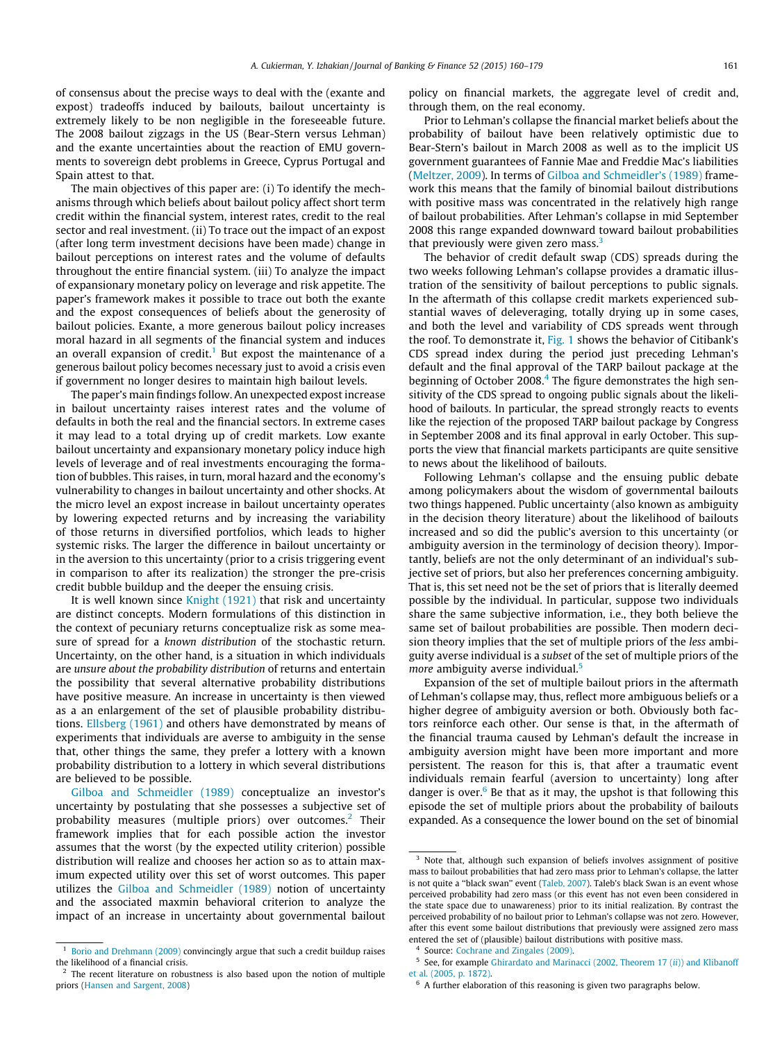of consensus about the precise ways to deal with the (exante and expost) tradeoffs induced by bailouts, bailout uncertainty is extremely likely to be non negligible in the foreseeable future. The 2008 bailout zigzags in the US (Bear-Stern versus Lehman) and the exante uncertainties about the reaction of EMU governments to sovereign debt problems in Greece, Cyprus Portugal and Spain attest to that.

The main objectives of this paper are: (i) To identify the mechanisms through which beliefs about bailout policy affect short term credit within the financial system, interest rates, credit to the real sector and real investment. (ii) To trace out the impact of an expost (after long term investment decisions have been made) change in bailout perceptions on interest rates and the volume of defaults throughout the entire financial system. (iii) To analyze the impact of expansionary monetary policy on leverage and risk appetite. The paper's framework makes it possible to trace out both the exante and the expost consequences of beliefs about the generosity of bailout policies. Exante, a more generous bailout policy increases moral hazard in all segments of the financial system and induces an overall expansion of credit.<sup>1</sup> But expost the maintenance of a generous bailout policy becomes necessary just to avoid a crisis even if government no longer desires to maintain high bailout levels.

The paper's main findings follow. An unexpected expost increase in bailout uncertainty raises interest rates and the volume of defaults in both the real and the financial sectors. In extreme cases it may lead to a total drying up of credit markets. Low exante bailout uncertainty and expansionary monetary policy induce high levels of leverage and of real investments encouraging the formation of bubbles. This raises, in turn, moral hazard and the economy's vulnerability to changes in bailout uncertainty and other shocks. At the micro level an expost increase in bailout uncertainty operates by lowering expected returns and by increasing the variability of those returns in diversified portfolios, which leads to higher systemic risks. The larger the difference in bailout uncertainty or in the aversion to this uncertainty (prior to a crisis triggering event in comparison to after its realization) the stronger the pre-crisis credit bubble buildup and the deeper the ensuing crisis.

It is well known since [Knight \(1921\)](#page-18-0) that risk and uncertainty are distinct concepts. Modern formulations of this distinction in the context of pecuniary returns conceptualize risk as some measure of spread for a known distribution of the stochastic return. Uncertainty, on the other hand, is a situation in which individuals are unsure about the probability distribution of returns and entertain the possibility that several alternative probability distributions have positive measure. An increase in uncertainty is then viewed as a an enlargement of the set of plausible probability distributions. [Ellsberg \(1961\)](#page-18-0) and others have demonstrated by means of experiments that individuals are averse to ambiguity in the sense that, other things the same, they prefer a lottery with a known probability distribution to a lottery in which several distributions are believed to be possible.

[Gilboa and Schmeidler \(1989\)](#page-18-0) conceptualize an investor's uncertainty by postulating that she possesses a subjective set of probability measures (multiple priors) over outcomes.<sup>2</sup> Their framework implies that for each possible action the investor assumes that the worst (by the expected utility criterion) possible distribution will realize and chooses her action so as to attain maximum expected utility over this set of worst outcomes. This paper utilizes the [Gilboa and Schmeidler \(1989\)](#page-18-0) notion of uncertainty and the associated maxmin behavioral criterion to analyze the impact of an increase in uncertainty about governmental bailout policy on financial markets, the aggregate level of credit and, through them, on the real economy.

Prior to Lehman's collapse the financial market beliefs about the probability of bailout have been relatively optimistic due to Bear-Stern's bailout in March 2008 as well as to the implicit US government guarantees of Fannie Mae and Freddie Mac's liabilities ([Meltzer, 2009\)](#page-18-0). In terms of [Gilboa and Schmeidler's \(1989\)](#page-18-0) framework this means that the family of binomial bailout distributions with positive mass was concentrated in the relatively high range of bailout probabilities. After Lehman's collapse in mid September 2008 this range expanded downward toward bailout probabilities that previously were given zero mass. $3$ 

The behavior of credit default swap (CDS) spreads during the two weeks following Lehman's collapse provides a dramatic illustration of the sensitivity of bailout perceptions to public signals. In the aftermath of this collapse credit markets experienced substantial waves of deleveraging, totally drying up in some cases, and both the level and variability of CDS spreads went through the roof. To demonstrate it, [Fig. 1](#page-2-0) shows the behavior of Citibank's CDS spread index during the period just preceding Lehman's default and the final approval of the TARP bailout package at the beginning of October 2008. $4$  The figure demonstrates the high sensitivity of the CDS spread to ongoing public signals about the likelihood of bailouts. In particular, the spread strongly reacts to events like the rejection of the proposed TARP bailout package by Congress in September 2008 and its final approval in early October. This supports the view that financial markets participants are quite sensitive to news about the likelihood of bailouts.

Following Lehman's collapse and the ensuing public debate among policymakers about the wisdom of governmental bailouts two things happened. Public uncertainty (also known as ambiguity in the decision theory literature) about the likelihood of bailouts increased and so did the public's aversion to this uncertainty (or ambiguity aversion in the terminology of decision theory). Importantly, beliefs are not the only determinant of an individual's subjective set of priors, but also her preferences concerning ambiguity. That is, this set need not be the set of priors that is literally deemed possible by the individual. In particular, suppose two individuals share the same subjective information, i.e., they both believe the same set of bailout probabilities are possible. Then modern decision theory implies that the set of multiple priors of the less ambiguity averse individual is a subset of the set of multiple priors of the more ambiguity averse individual.<sup>5</sup>

Expansion of the set of multiple bailout priors in the aftermath of Lehman's collapse may, thus, reflect more ambiguous beliefs or a higher degree of ambiguity aversion or both. Obviously both factors reinforce each other. Our sense is that, in the aftermath of the financial trauma caused by Lehman's default the increase in ambiguity aversion might have been more important and more persistent. The reason for this is, that after a traumatic event individuals remain fearful (aversion to uncertainty) long after danger is over. $6$  Be that as it may, the upshot is that following this episode the set of multiple priors about the probability of bailouts expanded. As a consequence the lower bound on the set of binomial

[Borio and Drehmann \(2009\)](#page-18-0) convincingly argue that such a credit buildup raises the likelihood of a financial crisis.

<sup>&</sup>lt;sup>2</sup> The recent literature on robustness is also based upon the notion of multiple priors [\(Hansen and Sargent, 2008](#page-18-0))

<sup>&</sup>lt;sup>3</sup> Note that, although such expansion of beliefs involves assignment of positive mass to bailout probabilities that had zero mass prior to Lehman's collapse, the latter is not quite a "black swan" event [\(Taleb, 2007\)](#page-18-0). Taleb's black Swan is an event whose perceived probability had zero mass (or this event has not even been considered in the state space due to unawareness) prior to its initial realization. By contrast the perceived probability of no bailout prior to Lehman's collapse was not zero. However, after this event some bailout distributions that previously were assigned zero mass entered the set of (plausible) bailout distributions with positive mass.

Source: [Cochrane and Zingales \(2009\)](#page-18-0).

<sup>&</sup>lt;sup>5</sup> See, for example Ghirardato and Marinacci (2002, Theorem 17  $(ii)$ ) and Klibanoff [et al. \(2005, p. 1872\).](#page-18-0)

<sup>&</sup>lt;sup>6</sup> A further elaboration of this reasoning is given two paragraphs below.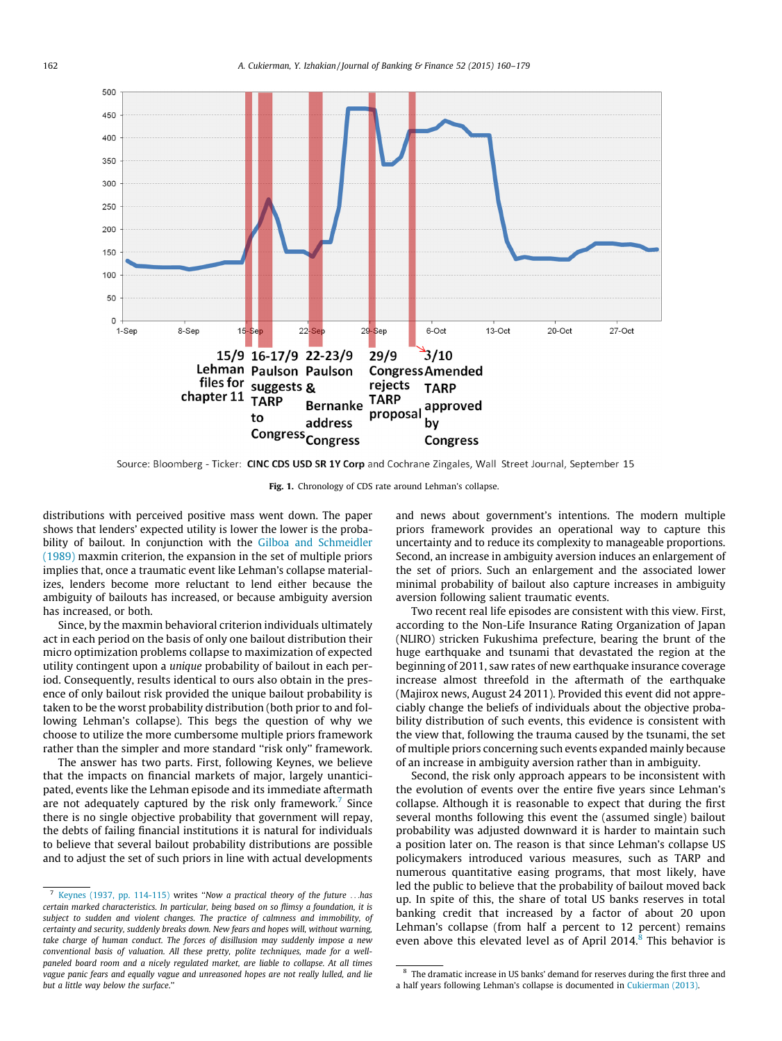<span id="page-2-0"></span>

Source: Bloomberg - Ticker: CINC CDS USD SR 1Y Corp and Cochrane Zingales, Wall Street Journal, September 15

Fig. 1. Chronology of CDS rate around Lehman's collapse.

distributions with perceived positive mass went down. The paper shows that lenders' expected utility is lower the lower is the proba-bility of bailout. In conjunction with the [Gilboa and Schmeidler](#page-18-0) [\(1989\)](#page-18-0) maxmin criterion, the expansion in the set of multiple priors implies that, once a traumatic event like Lehman's collapse materializes, lenders become more reluctant to lend either because the ambiguity of bailouts has increased, or because ambiguity aversion has increased, or both.

Since, by the maxmin behavioral criterion individuals ultimately act in each period on the basis of only one bailout distribution their micro optimization problems collapse to maximization of expected utility contingent upon a unique probability of bailout in each period. Consequently, results identical to ours also obtain in the presence of only bailout risk provided the unique bailout probability is taken to be the worst probability distribution (both prior to and following Lehman's collapse). This begs the question of why we choose to utilize the more cumbersome multiple priors framework rather than the simpler and more standard "risk only" framework.

The answer has two parts. First, following Keynes, we believe that the impacts on financial markets of major, largely unanticipated, events like the Lehman episode and its immediate aftermath are not adequately captured by the risk only framework.<sup>7</sup> Since there is no single objective probability that government will repay, the debts of failing financial institutions it is natural for individuals to believe that several bailout probability distributions are possible and to adjust the set of such priors in line with actual developments and news about government's intentions. The modern multiple priors framework provides an operational way to capture this uncertainty and to reduce its complexity to manageable proportions. Second, an increase in ambiguity aversion induces an enlargement of the set of priors. Such an enlargement and the associated lower minimal probability of bailout also capture increases in ambiguity aversion following salient traumatic events.

Two recent real life episodes are consistent with this view. First, according to the Non-Life Insurance Rating Organization of Japan (NLIRO) stricken Fukushima prefecture, bearing the brunt of the huge earthquake and tsunami that devastated the region at the beginning of 2011, saw rates of new earthquake insurance coverage increase almost threefold in the aftermath of the earthquake (Majirox news, August 24 2011). Provided this event did not appreciably change the beliefs of individuals about the objective probability distribution of such events, this evidence is consistent with the view that, following the trauma caused by the tsunami, the set of multiple priors concerning such events expanded mainly because of an increase in ambiguity aversion rather than in ambiguity.

Second, the risk only approach appears to be inconsistent with the evolution of events over the entire five years since Lehman's collapse. Although it is reasonable to expect that during the first several months following this event the (assumed single) bailout probability was adjusted downward it is harder to maintain such a position later on. The reason is that since Lehman's collapse US policymakers introduced various measures, such as TARP and numerous quantitative easing programs, that most likely, have led the public to believe that the probability of bailout moved back up. In spite of this, the share of total US banks reserves in total banking credit that increased by a factor of about 20 upon Lehman's collapse (from half a percent to 12 percent) remains even above this elevated level as of April 2014.<sup>8</sup> This behavior is

[Keynes \(1937, pp. 114-115\)](#page-18-0) writes "Now a practical theory of the future ...has certain marked characteristics. In particular, being based on so flimsy a foundation, it is subject to sudden and violent changes. The practice of calmness and immobility, of certainty and security, suddenly breaks down. New fears and hopes will, without warning, take charge of human conduct. The forces of disillusion may suddenly impose a new conventional basis of valuation. All these pretty, polite techniques, made for a wellpaneled board room and a nicely regulated market, are liable to collapse. At all times vague panic fears and equally vague and unreasoned hopes are not really lulled, and lie but a little way below the surface.''

<sup>8</sup> The dramatic increase in US banks' demand for reserves during the first three and a half years following Lehman's collapse is documented in [Cukierman \(2013\).](#page-18-0)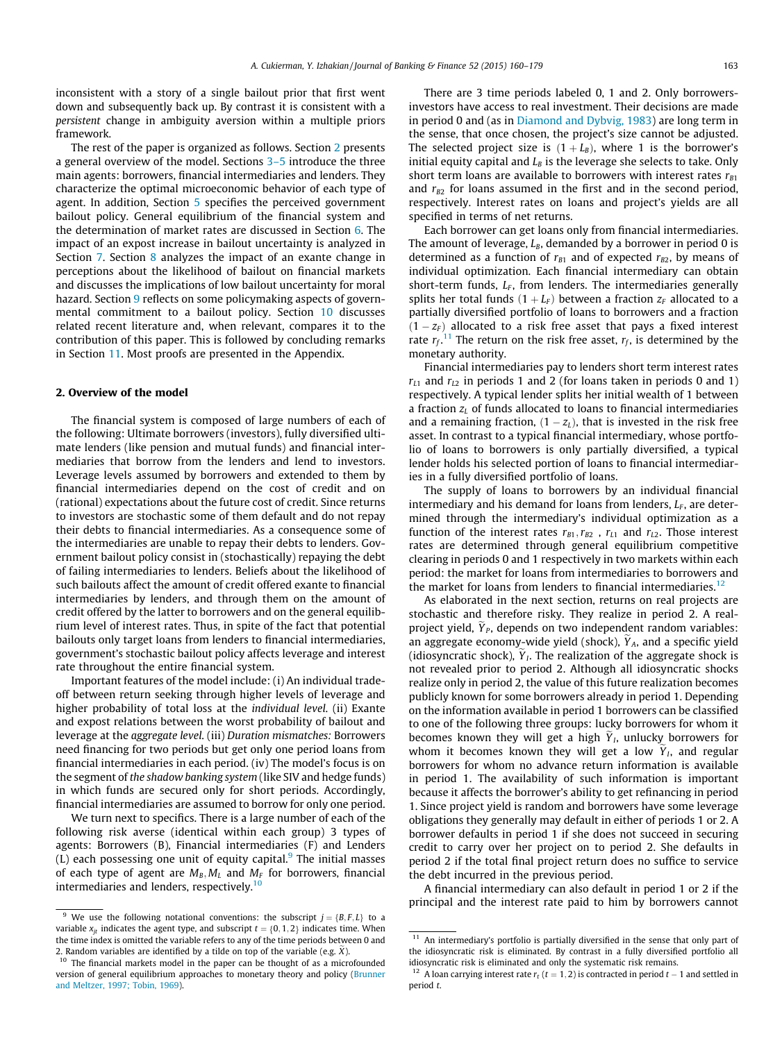inconsistent with a story of a single bailout prior that first went down and subsequently back up. By contrast it is consistent with a persistent change in ambiguity aversion within a multiple priors framework.

The rest of the paper is organized as follows. Section 2 presents a general overview of the model. Sections [3–5](#page-4-0) introduce the three main agents: borrowers, financial intermediaries and lenders. They characterize the optimal microeconomic behavior of each type of agent. In addition, Section [5](#page-8-0) specifies the perceived government bailout policy. General equilibrium of the financial system and the determination of market rates are discussed in Section [6.](#page-10-0) The impact of an expost increase in bailout uncertainty is analyzed in Section [7](#page-11-0). Section [8](#page-12-0) analyzes the impact of an exante change in perceptions about the likelihood of bailout on financial markets and discusses the implications of low bailout uncertainty for moral hazard. Section [9](#page-12-0) reflects on some policymaking aspects of governmental commitment to a bailout policy. Section [10](#page-13-0) discusses related recent literature and, when relevant, compares it to the contribution of this paper. This is followed by concluding remarks in Section [11](#page-14-0). Most proofs are presented in the Appendix.

#### 2. Overview of the model

The financial system is composed of large numbers of each of the following: Ultimate borrowers (investors), fully diversified ultimate lenders (like pension and mutual funds) and financial intermediaries that borrow from the lenders and lend to investors. Leverage levels assumed by borrowers and extended to them by financial intermediaries depend on the cost of credit and on (rational) expectations about the future cost of credit. Since returns to investors are stochastic some of them default and do not repay their debts to financial intermediaries. As a consequence some of the intermediaries are unable to repay their debts to lenders. Government bailout policy consist in (stochastically) repaying the debt of failing intermediaries to lenders. Beliefs about the likelihood of such bailouts affect the amount of credit offered exante to financial intermediaries by lenders, and through them on the amount of credit offered by the latter to borrowers and on the general equilibrium level of interest rates. Thus, in spite of the fact that potential bailouts only target loans from lenders to financial intermediaries, government's stochastic bailout policy affects leverage and interest rate throughout the entire financial system.

Important features of the model include: (i) An individual tradeoff between return seeking through higher levels of leverage and higher probability of total loss at the individual level. (ii) Exante and expost relations between the worst probability of bailout and leverage at the aggregate level. (iii) Duration mismatches: Borrowers need financing for two periods but get only one period loans from financial intermediaries in each period. (iv) The model's focus is on the segment of the shadow banking system (like SIV and hedge funds) in which funds are secured only for short periods. Accordingly, financial intermediaries are assumed to borrow for only one period.

We turn next to specifics. There is a large number of each of the following risk averse (identical within each group) 3 types of agents: Borrowers (B), Financial intermediaries (F) and Lenders (L) each possessing one unit of equity capital. $9$  The initial masses of each type of agent are  $M_B$ ,  $M_L$  and  $M_F$  for borrowers, financial intermediaries and lenders, respectively.<sup>10</sup>

There are 3 time periods labeled 0, 1 and 2. Only borrowersinvestors have access to real investment. Their decisions are made in period 0 and (as in [Diamond and Dybvig, 1983\)](#page-18-0) are long term in the sense, that once chosen, the project's size cannot be adjusted. The selected project size is  $(1 + L_B)$ , where 1 is the borrower's initial equity capital and  $L_B$  is the leverage she selects to take. Only short term loans are available to borrowers with interest rates  $r_{B1}$ and  $r_{B2}$  for loans assumed in the first and in the second period, respectively. Interest rates on loans and project's yields are all specified in terms of net returns.

Each borrower can get loans only from financial intermediaries. The amount of leverage,  $L_B$ , demanded by a borrower in period 0 is determined as a function of  $r_{B1}$  and of expected  $r_{B2}$ , by means of individual optimization. Each financial intermediary can obtain short-term funds,  $L_F$ , from lenders. The intermediaries generally splits her total funds  $(1 + L_F)$  between a fraction  $z_F$  allocated to a partially diversified portfolio of loans to borrowers and a fraction  $(1 - z<sub>F</sub>)$  allocated to a risk free asset that pays a fixed interest rate  $r_f$ .<sup>11</sup> The return on the risk free asset,  $r_f$ , is determined by the monetary authority.

Financial intermediaries pay to lenders short term interest rates  $r_{L1}$  and  $r_{L2}$  in periods 1 and 2 (for loans taken in periods 0 and 1) respectively. A typical lender splits her initial wealth of 1 between a fraction  $z_L$  of funds allocated to loans to financial intermediaries and a remaining fraction,  $(1 - z_L)$ , that is invested in the risk free asset. In contrast to a typical financial intermediary, whose portfolio of loans to borrowers is only partially diversified, a typical lender holds his selected portion of loans to financial intermediaries in a fully diversified portfolio of loans.

The supply of loans to borrowers by an individual financial intermediary and his demand for loans from lenders,  $L_F$ , are determined through the intermediary's individual optimization as a function of the interest rates  $r_{B1},r_{B2}$ ,  $r_{L1}$  and  $r_{L2}$ . Those interest rates are determined through general equilibrium competitive clearing in periods 0 and 1 respectively in two markets within each period: the market for loans from intermediaries to borrowers and the market for loans from lenders to financial intermediaries.<sup>12</sup>

As elaborated in the next section, returns on real projects are stochastic and therefore risky. They realize in period 2. A realproject yield,  $Y<sub>P</sub>$ , depends on two independent random variables: an aggregate economy-wide yield (shock),  $Y_A$ , and a specific yield (idiosyncratic shock),  $Y_I$ . The realization of the aggregate shock is not revealed prior to period 2. Although all idiosyncratic shocks realize only in period 2, the value of this future realization becomes publicly known for some borrowers already in period 1. Depending on the information available in period 1 borrowers can be classified to one of the following three groups: lucky borrowers for whom it becomes known they will get a high  $Y_I$ , unlucky borrowers for whom it becomes known they will get a low  $Y_I$ , and regular borrowers for whom no advance return information is available in period 1. The availability of such information is important because it affects the borrower's ability to get refinancing in period 1. Since project yield is random and borrowers have some leverage obligations they generally may default in either of periods 1 or 2. A borrower defaults in period 1 if she does not succeed in securing credit to carry over her project on to period 2. She defaults in period 2 if the total final project return does no suffice to service the debt incurred in the previous period.

A financial intermediary can also default in period 1 or 2 if the principal and the interest rate paid to him by borrowers cannot

We use the following notational conventions: the subscript  $j = \{B, F, L\}$  to a variable  $x_{it}$  indicates the agent type, and subscript  $t = \{0, 1, 2\}$  indicates time. When the time index is omitted the variable refers to any of the time periods between 0 and 2. Random variables are identified by a tilde on top of the variable (e.g.  $X$ ).

 $10$  The financial markets model in the paper can be thought of as a microfounded version of general equilibrium approaches to monetary theory and policy ([Brunner](#page-18-0) [and Meltzer, 1997; Tobin, 1969](#page-18-0)).

 $11$  An intermediary's portfolio is partially diversified in the sense that only part of the idiosyncratic risk is eliminated. By contrast in a fully diversified portfolio all idiosyncratic risk is eliminated and only the systematic risk remains.

<sup>&</sup>lt;sup>12</sup> A loan carrying interest rate  $r_t$  ( $t = 1, 2$ ) is contracted in period  $t - 1$  and settled in period t.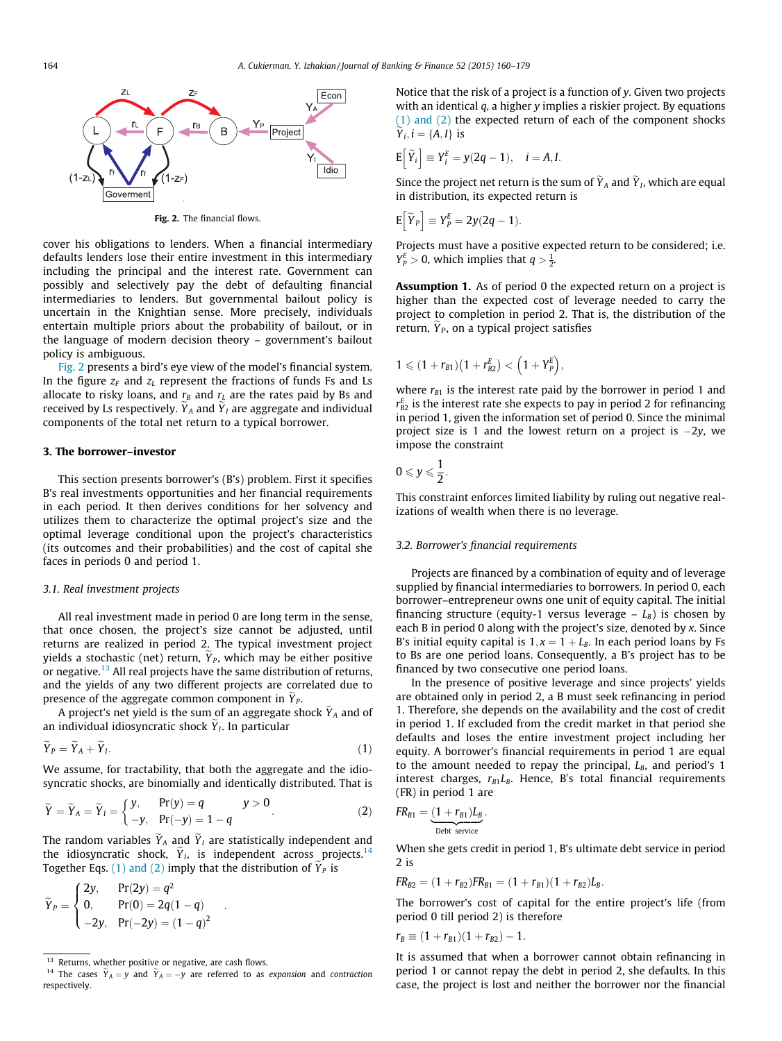<span id="page-4-0"></span>

Fig. 2. The financial flows.

cover his obligations to lenders. When a financial intermediary defaults lenders lose their entire investment in this intermediary including the principal and the interest rate. Government can possibly and selectively pay the debt of defaulting financial intermediaries to lenders. But governmental bailout policy is uncertain in the Knightian sense. More precisely, individuals entertain multiple priors about the probability of bailout, or in the language of modern decision theory – government's bailout policy is ambiguous.

Fig. 2 presents a bird's eye view of the model's financial system. In the figure  $z_F$  and  $z_L$  represent the fractions of funds Fs and Ls allocate to risky loans, and  $r_B$  and  $r_L$  are the rates paid by Bs and received by Ls respectively.  $Y_A$  and  $Y_I$  are aggregate and individual components of the total net return to a typical borrower.

## 3. The borrower–investor

This section presents borrower's (B's) problem. First it specifies B's real investments opportunities and her financial requirements in each period. It then derives conditions for her solvency and utilizes them to characterize the optimal project's size and the optimal leverage conditional upon the project's characteristics (its outcomes and their probabilities) and the cost of capital she faces in periods 0 and period 1.

#### 3.1. Real investment projects

All real investment made in period 0 are long term in the sense, that once chosen, the project's size cannot be adjusted, until returns are realized in period 2. The typical investment project yields a stochastic (net) return,  $Y_P$ , which may be either positive or negative.13 All real projects have the same distribution of returns, and the yields of any two different projects are correlated due to presence of the aggregate common component in  $Y_{P}$ .

A project's net yield is the sum of an aggregate shock  $Y_A$  and of an individual idiosyncratic shock  $Y_I$ . In particular

$$
\widetilde{Y}_P = \widetilde{Y}_A + \widetilde{Y}_I. \tag{1}
$$

We assume, for tractability, that both the aggregate and the idiosyncratic shocks, are binomially and identically distributed. That is

$$
\widetilde{Y} = \widetilde{Y}_A = \widetilde{Y}_I = \begin{cases} y, & \text{Pr}(y) = q \\ -y, & \text{Pr}(-y) = 1 - q \end{cases}
$$
 (2)

The random variables  $Y_A$  and  $Y_I$  are statistically independent and the idiosyncratic shock,  $\widetilde{Y}_I$ , is independent across projects.<sup>14</sup> Together Eqs. (1) and (2) imply that the distribution of  $Y_P$  is

$$
\widetilde{Y}_P = \begin{cases}\n2y, & \text{Pr}(2y) = q^2 \\
0, & \text{Pr}(0) = 2q(1-q) \\
-2y, & \text{Pr}(-2y) = (1-q)^2\n\end{cases}.
$$

Notice that the risk of a project is a function of  $v$ . Given two projects with an identical q, a higher y implies a riskier project. By equations (1) and (2) the expected return of each of the component shocks  $Y_i, i = {A, I}$  is

$$
E[\widetilde{Y}_i] \equiv Y_i^E = y(2q - 1), \quad i = A, I.
$$

Since the project net return is the sum of  $Y_A$  and  $Y_I$ , which are equal in distribution, its expected return is

$$
E[\widetilde{Y}_P] \equiv Y_P^E = 2y(2q-1).
$$

Projects must have a positive expected return to be considered; i.e.  $Y_P^E > 0$ , which implies that  $q > \frac{1}{2}$ .

Assumption 1. As of period 0 the expected return on a project is higher than the expected cost of leverage needed to carry the project to completion in period 2. That is, the distribution of the return,  $Y_P$ , on a typical project satisfies

$$
1\leqslant (1+r_{\text{B}1})\big(1+r_{\text{B}2}^{\text{E}}\big)<\Big(1+Y_{\text{P}}^{\text{E}}\Big),
$$

where  $r_{B1}$  is the interest rate paid by the borrower in period 1 and  $r_{B2}^E$  is the interest rate she expects to pay in period 2 for refinancing in period 1, given the information set of period 0. Since the minimal project size is 1 and the lowest return on a project is  $-2y$ , we impose the constraint

$$
0\leqslant y\leqslant \frac{1}{2}.
$$

This constraint enforces limited liability by ruling out negative realizations of wealth when there is no leverage.

## 3.2. Borrower's financial requirements

Projects are financed by a combination of equity and of leverage supplied by financial intermediaries to borrowers. In period 0, each borrower–entrepreneur owns one unit of equity capital. The initial financing structure (equity-1 versus leverage –  $L_B$ ) is chosen by each B in period 0 along with the project's size, denoted by x. Since B's initial equity capital is  $1, x = 1 + L_B$ . In each period loans by Fs to Bs are one period loans. Consequently, a B's project has to be financed by two consecutive one period loans.

In the presence of positive leverage and since projects' yields are obtained only in period 2, a B must seek refinancing in period 1. Therefore, she depends on the availability and the cost of credit in period 1. If excluded from the credit market in that period she defaults and loses the entire investment project including her equity. A borrower's financial requirements in period 1 are equal to the amount needed to repay the principal,  $L_B$ , and period's 1 interest charges,  $r_{B1}L_B$ . Hence, B's total financial requirements (FR) in period 1 are

$$
FR_{B1} = \underbrace{(1 + r_{B1})L_B}_{\text{Debt service}}.
$$

When she gets credit in period 1, B's ultimate debt service in period 2 is

$$
FR_{B2} = (1 + r_{B2})FR_{B1} = (1 + r_{B1})(1 + r_{B2})L_B.
$$

The borrower's cost of capital for the entire project's life (from period 0 till period 2) is therefore

$$
r_B \equiv (1 + r_{B1})(1 + r_{B2}) - 1.
$$

It is assumed that when a borrower cannot obtain refinancing in period 1 or cannot repay the debt in period 2, she defaults. In this case, the project is lost and neither the borrower nor the financial

<sup>&</sup>lt;sup>13</sup> Returns, whether positive or negative, are cash flows.

<sup>&</sup>lt;sup>14</sup> The cases  $\tilde{Y}_A = y$  and  $\tilde{Y}_A = -y$  are referred to as expansion and contraction respectively.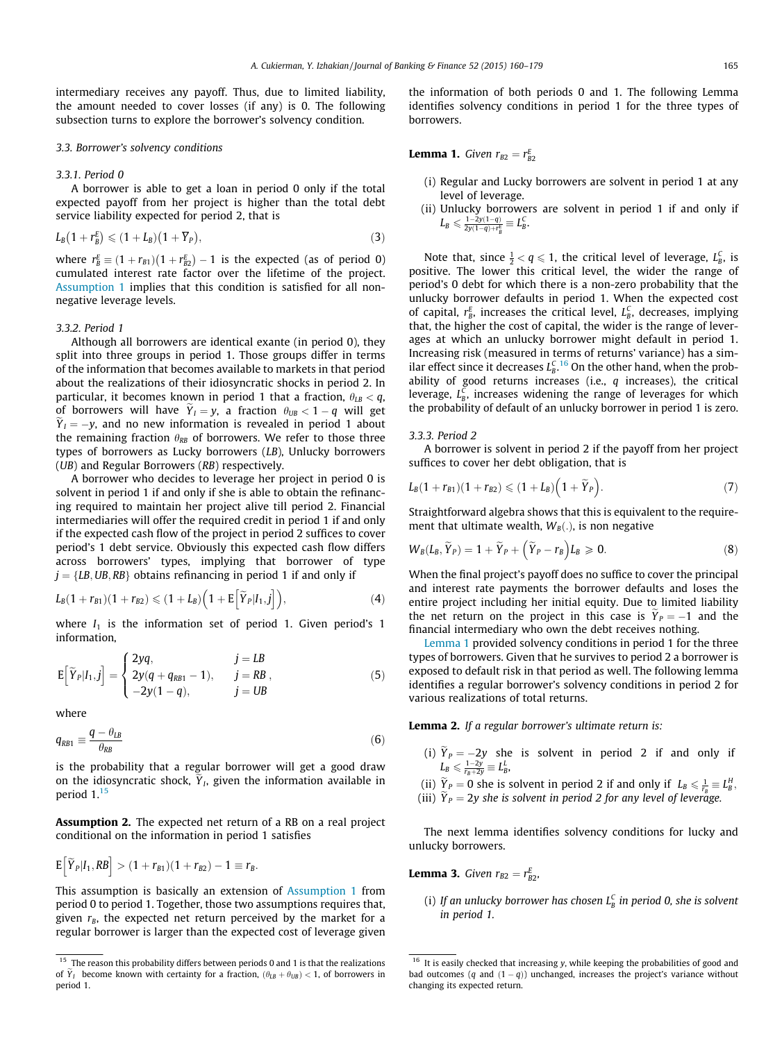<span id="page-5-0"></span>intermediary receives any payoff. Thus, due to limited liability, the amount needed to cover losses (if any) is 0. The following subsection turns to explore the borrower's solvency condition.

#### 3.3. Borrower's solvency conditions

#### 3.3.1. Period 0

A borrower is able to get a loan in period 0 only if the total expected payoff from her project is higher than the total debt service liability expected for period 2, that is

$$
L_B(1+r_B^E)\leqslant (1+L_B)(1+\overline{Y}_P),\qquad \qquad (3)
$$

where  $r_{\overline{B}}^E \equiv (1 + r_{B1})(1 + r_{B2}^E) - 1$  is the expected (as of period 0) cumulated interest rate factor over the lifetime of the project. [Assumption 1](#page-4-0) implies that this condition is satisfied for all nonnegative leverage levels.

#### 3.3.2. Period 1

Although all borrowers are identical exante (in period 0), they split into three groups in period 1. Those groups differ in terms of the information that becomes available to markets in that period about the realizations of their idiosyncratic shocks in period 2. In particular, it becomes known in period 1 that a fraction,  $\theta_{LB} < q$ , of borrowers will have  $Y_I = y$ , a fraction  $\theta_{UB} < 1 - q$  will get  $Y_I = -y$ , and no new information is revealed in period 1 about the remaining fraction  $\theta_{RB}$  of borrowers. We refer to those three types of borrowers as Lucky borrowers (LB), Unlucky borrowers (UB) and Regular Borrowers (RB) respectively.

A borrower who decides to leverage her project in period 0 is solvent in period 1 if and only if she is able to obtain the refinancing required to maintain her project alive till period 2. Financial intermediaries will offer the required credit in period 1 if and only if the expected cash flow of the project in period 2 suffices to cover period's 1 debt service. Obviously this expected cash flow differs across borrowers' types, implying that borrower of type  $j = \{LB, UB, RB\}$  obtains refinancing in period 1 if and only if

$$
L_B(1+r_{B1})(1+r_{B2})\leqslant (1+L_B)\Big(1+E\Big[\widetilde{Y}_P|I_1,j\Big]\Big),\tag{4}
$$

where  $I_1$  is the information set of period 1. Given period's 1 information,

$$
\mathbb{E}\left[\widetilde{Y}_P|I_1,j\right] = \begin{cases} 2yq, & j = LB \\ 2y(q + q_{RB1} - 1), & j = RB \\ -2y(1 - q), & j = UB \end{cases}
$$
(5)

where

$$
q_{RB1} \equiv \frac{q - \theta_{LB}}{\theta_{RB}} \tag{6}
$$

is the probability that a regular borrower will get a good draw on the idiosyncratic shock,  $Y_i$ , given the information available in period 1.15

Assumption 2. The expected net return of a RB on a real project conditional on the information in period 1 satisfies

$$
E\left[\widetilde{Y}_P|I_1,RB\right]>(1+r_{B1})(1+r_{B2})-1\equiv r_B.
$$

This assumption is basically an extension of [Assumption 1](#page-4-0) from period 0 to period 1. Together, those two assumptions requires that, given  $r_B$ , the expected net return perceived by the market for a regular borrower is larger than the expected cost of leverage given the information of both periods 0 and 1. The following Lemma identifies solvency conditions in period 1 for the three types of borrowers.

## **Lemma 1.** Given  $r_{B2} = r_{B2}^E$

- (i) Regular and Lucky borrowers are solvent in period 1 at any level of leverage.
- (ii) Unlucky borrowers are solvent in period 1 if and only if  $L_B\leqslant\frac{1-2y(1-q)}{2y(1-q)+r_B^E}\equiv L_B^C.$

Note that, since  $\frac{1}{2} < q \leq 1$ , the critical level of leverage,  $L_B^C$ , is positive. The lower this critical level, the wider the range of period's 0 debt for which there is a non-zero probability that the unlucky borrower defaults in period 1. When the expected cost of capital,  $r_B^E$ , increases the critical level,  $L_B^C$ , decreases, implying that, the higher the cost of capital, the wider is the range of leverages at which an unlucky borrower might default in period 1. Increasing risk (measured in terms of returns' variance) has a similar effect since it decreases  $L_1^C$  16 On the other hand, when the probability of good returns increases (i.e.,  $q$  increases), the critical leverage,  $L_{B}^{C}$ , increases widening the range of leverages for which the probability of default of an unlucky borrower in period 1 is zero.

#### 3.3.3. Period 2

A borrower is solvent in period 2 if the payoff from her project suffices to cover her debt obligation, that is

$$
L_B(1 + r_{B1})(1 + r_{B2}) \leq (1 + L_B)\Big(1 + \widetilde{Y}_P\Big).
$$
 (7)

Straightforward algebra shows that this is equivalent to the requirement that ultimate wealth,  $W_B(.)$ , is non negative

$$
W_B(L_B, \widetilde{Y}_P) = 1 + \widetilde{Y}_P + \left(\widetilde{Y}_P - r_B\right)L_B \geqslant 0. \tag{8}
$$

When the final project's payoff does no suffice to cover the principal and interest rate payments the borrower defaults and loses the entire project including her initial equity. Due to limited liability the net return on the project in this case is  $Y_P = -1$  and the financial intermediary who own the debt receives nothing.

Lemma 1 provided solvency conditions in period 1 for the three types of borrowers. Given that he survives to period 2 a borrower is exposed to default risk in that period as well. The following lemma identifies a regular borrower's solvency conditions in period 2 for various realizations of total returns.

Lemma 2. If a regular borrower's ultimate return is:

- (i)  $Y_P = -2y$  she is solvent in period 2 if and only if  $L_B\leqslant\frac{1-2y}{r_B+2y}\equiv L_B^L,$
- (ii)  $\widetilde{Y}_P = 0$  she is solvent in period 2 if and only if  $L_B \le \frac{1}{r_B} \equiv L_B^H$ ,
- (iii)  $Y_P = 2y$  she is solvent in period 2 for any level of leverage.

The next lemma identifies solvency conditions for lucky and unlucky borrowers.

**Lemma 3.** Given  $r_{B2} = r_{B2}^E$ ,

(i) If an unlucky borrower has chosen  $L_B^C$  in period 0, she is solvent in period 1.

 $15\,$  The reason this probability differs between periods 0 and 1 is that the realizations of Y<sub>I</sub> become known with certainty for a fraction,  $(\theta_{LB} + \theta_{UB}) < 1$ , of borrowers in period 1.

 $^{16}\,$  It is easily checked that increasing y, while keeping the probabilities of good and bad outcomes (q and  $(1 - q)$ ) unchanged, increases the project's variance without changing its expected return.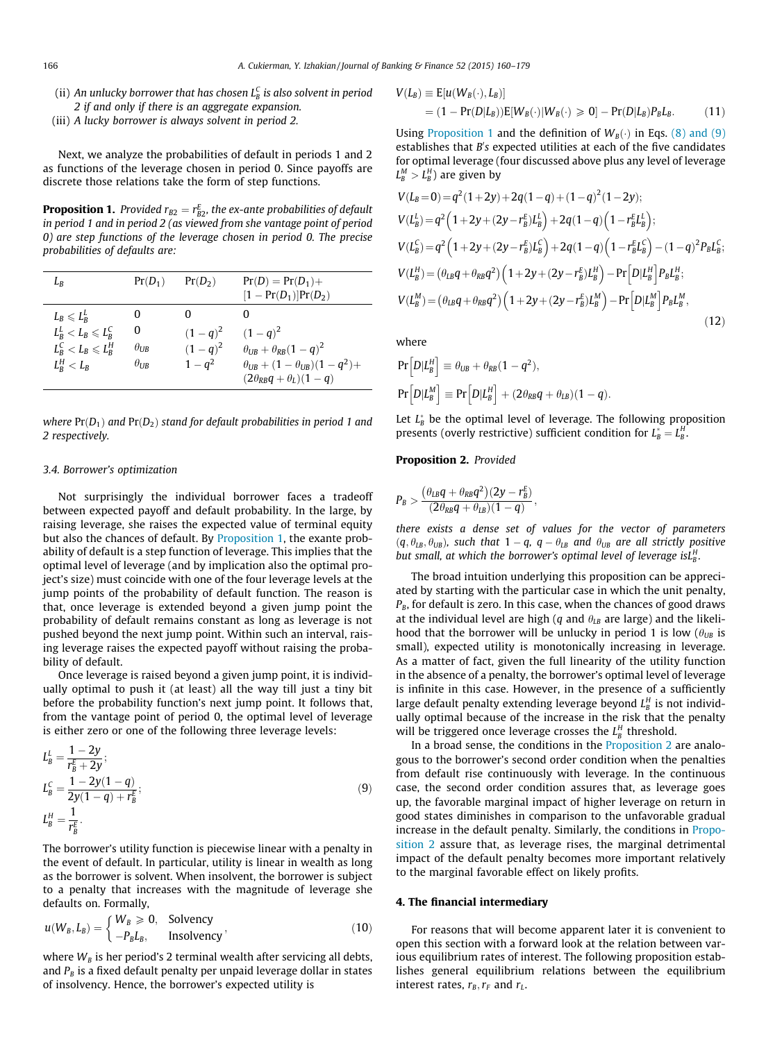- <span id="page-6-0"></span>(ii) An unlucky borrower that has chosen  $L_{B}^{\mathsf{C}}$  is also solvent in period 2 if and only if there is an aggregate expansion.
- (iii) A lucky borrower is always solvent in period 2.

Next, we analyze the probabilities of default in periods 1 and 2 as functions of the leverage chosen in period 0. Since payoffs are discrete those relations take the form of step functions.

**Proposition 1.** Provided  $r_{B2} = r_{B2}^E$ , the ex-ante probabilities of default in period 1 and in period 2 (as viewed from she vantage point of period 0) are step functions of the leverage chosen in period 0. The precise probabilities of defaults are:

| L <sub>B</sub>                                            | $Pr(D_1)$            | $Pr(D_2)$   | $Pr(D) = Pr(D_1) +$<br>$[1 - Pr(D_1)] Pr(D_2)$                                      |
|-----------------------------------------------------------|----------------------|-------------|-------------------------------------------------------------------------------------|
| $L_B \leqslant L_B^L$                                     |                      |             |                                                                                     |
| $L^L_{B} < L_B \leqslant L^C_{B}$                         | 0                    | $(1-q)^2$   | $(1 - q)^2$                                                                         |
| $L_{B}^{C} < L_{B} \leqslant L_{B}^{H}$                   | $\theta_{\text{UB}}$ | $(1 - q)^2$ | $\theta_{UB} + \theta_{RB} (1 - q)^2$                                               |
| $L^H_{\scriptscriptstyle{R}} < L_{\scriptscriptstyle{B}}$ | $\theta_{\text{UB}}$ | $1 - q^2$   | $\theta_{UB} + (1 - \theta_{UB})(1 - q^2) +$<br>$(2\theta_{RB}q + \theta_L)(1 - q)$ |

where  $Pr(D_1)$  and  $Pr(D_2)$  stand for default probabilities in period 1 and 2 respectively.

## 3.4. Borrower's optimization

Not surprisingly the individual borrower faces a tradeoff between expected payoff and default probability. In the large, by raising leverage, she raises the expected value of terminal equity but also the chances of default. By Proposition 1, the exante probability of default is a step function of leverage. This implies that the optimal level of leverage (and by implication also the optimal project's size) must coincide with one of the four leverage levels at the jump points of the probability of default function. The reason is that, once leverage is extended beyond a given jump point the probability of default remains constant as long as leverage is not pushed beyond the next jump point. Within such an interval, raising leverage raises the expected payoff without raising the probability of default.

Once leverage is raised beyond a given jump point, it is individually optimal to push it (at least) all the way till just a tiny bit before the probability function's next jump point. It follows that, from the vantage point of period 0, the optimal level of leverage is either zero or one of the following three leverage levels:

$$
L_B^L = \frac{1 - 2y}{r_B^E + 2y};
$$
  
\n
$$
L_B^C = \frac{1 - 2y(1 - q)}{2y(1 - q) + r_B^E};
$$
  
\n
$$
L_B^H = \frac{1}{r_B^E}.
$$
\n(9)

The borrower's utility function is piecewise linear with a penalty in the event of default. In particular, utility is linear in wealth as long as the borrower is solvent. When insolvent, the borrower is subject to a penalty that increases with the magnitude of leverage she defaults on. Formally,

$$
u(W_B, L_B) = \begin{cases} W_B \geq 0, & \text{Solvency} \\ -P_B L_B, & \text{Insolvency} \end{cases}
$$
 (10)

where  $W_B$  is her period's 2 terminal wealth after servicing all debts, and  $P_B$  is a fixed default penalty per unpaid leverage dollar in states of insolvency. Hence, the borrower's expected utility is

$$
V(L_B) \equiv E[u(W_B(\cdot), L_B)]
$$
  
= (1 - Pr(D|L\_B))E[W\_B(\cdot)|W\_B(\cdot) \ge 0] - Pr(D|L\_B)P\_BL\_B. (11)

Using Proposition 1 and the definition of  $W_B(\cdot)$  in Eqs. [\(8\) and \(9\)](#page-5-0) establishes that  $B$ 's expected utilities at each of the five candidates for optimal leverage (four discussed above plus any level of leverage  $L_B^M > L_B^H$ ) are given by

$$
V(L_B = 0) = q^2 (1 + 2y) + 2q(1 - q) + (1 - q)^2 (1 - 2y);
$$
  
\n
$$
V(L_B^L) = q^2 (1 + 2y + (2y - r_B^E)L_B^L) + 2q(1 - q) (1 - r_B^E L_B^L);
$$
  
\n
$$
V(L_B^C) = q^2 (1 + 2y + (2y - r_B^E)L_B^C) + 2q(1 - q) (1 - r_B^E L_B^C) - (1 - q)^2 P_B L_B^C;
$$
  
\n
$$
V(L_B^H) = (\theta_{LB}q + \theta_{RB}q^2) (1 + 2y + (2y - r_B^E)L_B^H) - \Pr[D|L_B^H] P_B L_B^H;
$$
  
\n
$$
V(L_B^M) = (\theta_{LB}q + \theta_{RB}q^2) (1 + 2y + (2y - r_B^E)L_B^M) - \Pr[D|L_B^M] P_B L_B^M,
$$
  
\n(12)

where

$$
Pr[D|L_B^H] \equiv \theta_{UB} + \theta_{RB}(1 - q^2),
$$
  
\n
$$
Pr[D|L_B^M] \equiv Pr[D|L_B^H] + (2\theta_{RB}q + \theta_{LB})(1 - q).
$$

Let  $L^*_{\text{B}}$  be the optimal level of leverage. The following proposition presents (overly restrictive) sufficient condition for  $L^*_B = L^H_B$ .

## Proposition 2. Provided

$$
P_B > \frac{\left(\theta_{LB}q + \theta_{RB}q^2\right)(2y - r_B^E)}{(2\theta_{RB}q + \theta_{LB})(1 - q)},
$$

there exists a dense set of values for the vector of parameters  $(q, \theta_{LB}, \theta_{UB})$ , such that  $1 - q$ ,  $q - \theta_{LB}$  and  $\theta_{UB}$  are all strictly positive but small, at which the borrower's optimal level of leverage is $L_B^H$ .

The broad intuition underlying this proposition can be appreciated by starting with the particular case in which the unit penalty,  $P_B$ , for default is zero. In this case, when the chances of good draws at the individual level are high (q and  $\theta_{LB}$  are large) and the likelihood that the borrower will be unlucky in period 1 is low ( $\theta_{UB}$  is small), expected utility is monotonically increasing in leverage. As a matter of fact, given the full linearity of the utility function in the absence of a penalty, the borrower's optimal level of leverage is infinite in this case. However, in the presence of a sufficiently large default penalty extending leverage beyond  $L_B^H$  is not individually optimal because of the increase in the risk that the penalty will be triggered once leverage crosses the  $L_B^H$  threshold.

In a broad sense, the conditions in the Proposition 2 are analogous to the borrower's second order condition when the penalties from default rise continuously with leverage. In the continuous case, the second order condition assures that, as leverage goes up, the favorable marginal impact of higher leverage on return in good states diminishes in comparison to the unfavorable gradual increase in the default penalty. Similarly, the conditions in Proposition 2 assure that, as leverage rises, the marginal detrimental impact of the default penalty becomes more important relatively to the marginal favorable effect on likely profits.

## 4. The financial intermediary

For reasons that will become apparent later it is convenient to open this section with a forward look at the relation between various equilibrium rates of interest. The following proposition establishes general equilibrium relations between the equilibrium interest rates,  $r_B, r_F$  and  $r_L$ .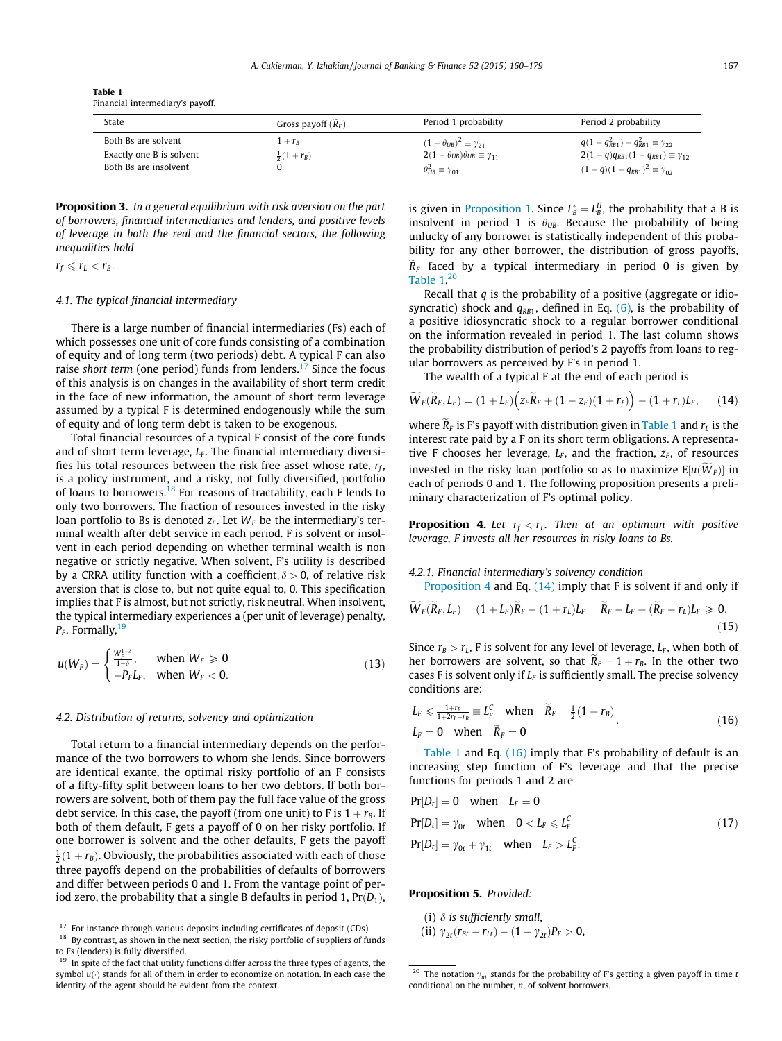| Table T |                                  |  |
|---------|----------------------------------|--|
|         | Financial intermediary's payoff. |  |

<span id="page-7-0"></span> $\overline{a}$   $\overline{a}$  1  $\overline{a}$ 

| State                    | Gross payoff $(R_F)$ | Period 1 probability                               | Period 2 probability                          |
|--------------------------|----------------------|----------------------------------------------------|-----------------------------------------------|
| Both Bs are solvent      | $+r_B$               | $(1 - \theta_{UB})^2 \equiv \gamma_{21}$           | $q(1-q_{RB1}^2)+q_{RB1}^2 \equiv \gamma_{22}$ |
| Exactly one B is solvent | $\frac{1}{2}(1+r_B)$ | $2(1 - \theta_{UB})\theta_{UB} \equiv \gamma_{11}$ | $2(1-q)q_{RB1}(1-q_{RB1}) \equiv \gamma_{12}$ |
| Both Bs are insolvent    |                      | $\theta_{\text{IIB}}^2 \equiv \gamma_{01}$         | $(1-q)(1-q_{RB1})^2 \equiv \gamma_{02}$       |

Proposition 3. In a general equilibrium with risk aversion on the part of borrowers, financial intermediaries and lenders, and positive levels of leverage in both the real and the financial sectors, the following inequalities hold

 $r_f \leqslant r_L < r_B$ .

## 4.1. The typical financial intermediary

There is a large number of financial intermediaries (Fs) each of which possesses one unit of core funds consisting of a combination of equity and of long term (two periods) debt. A typical F can also raise short term (one period) funds from lenders. $17$  Since the focus of this analysis is on changes in the availability of short term credit in the face of new information, the amount of short term leverage assumed by a typical F is determined endogenously while the sum of equity and of long term debt is taken to be exogenous.

Total financial resources of a typical F consist of the core funds and of short term leverage,  $L_F$ . The financial intermediary diversifies his total resources between the risk free asset whose rate,  $r_f$ , is a policy instrument, and a risky, not fully diversified, portfolio of loans to borrowers.<sup>18</sup> For reasons of tractability, each F lends to only two borrowers. The fraction of resources invested in the risky loan portfolio to Bs is denoted  $z_F$ . Let  $W_F$  be the intermediary's terminal wealth after debt service in each period. F is solvent or insolvent in each period depending on whether terminal wealth is non negative or strictly negative. When solvent, F's utility is described by a CRRA utility function with a coefficient,  $\delta > 0$ , of relative risk aversion that is close to, but not quite equal to, 0. This specification implies that F is almost, but not strictly, risk neutral. When insolvent, the typical intermediary experiences a (per unit of leverage) penalty,  $P_F$ . Formally,  $^{19}$ 

$$
u(W_F) = \begin{cases} \frac{W_F^{1-\delta}}{1-\delta}, & \text{when } W_F \ge 0\\ -P_F L_F, & \text{when } W_F < 0. \end{cases}
$$
 (13)

#### 4.2. Distribution of returns, solvency and optimization

Total return to a financial intermediary depends on the performance of the two borrowers to whom she lends. Since borrowers are identical exante, the optimal risky portfolio of an F consists of a fifty-fifty split between loans to her two debtors. If both borrowers are solvent, both of them pay the full face value of the gross debt service. In this case, the payoff (from one unit) to F is  $1 + r_B$ . If both of them default, F gets a payoff of 0 on her risky portfolio. If one borrower is solvent and the other defaults, F gets the payoff  $\frac{1}{2}(1+r_{\rm B})$ . Obviously, the probabilities associated with each of those three payoffs depend on the probabilities of defaults of borrowers and differ between periods 0 and 1. From the vantage point of period zero, the probability that a single B defaults in period 1,  $Pr(D_1)$ ,

is given in [Proposition 1.](#page-6-0) Since  $L^*_B = L^H_B$ , the probability that a B is insolvent in period 1 is  $\theta_{UB}$ . Because the probability of being unlucky of any borrower is statistically independent of this probability for any other borrower, the distribution of gross payoffs,  $R_F$  faced by a typical intermediary in period 0 is given by Table  $1.^{20}$ 

Recall that  $q$  is the probability of a positive (aggregate or idiosyncratic) shock and  $q_{RB1}$ , defined in Eq. [\(6\),](#page-5-0) is the probability of a positive idiosyncratic shock to a regular borrower conditional on the information revealed in period 1. The last column shows the probability distribution of period's 2 payoffs from loans to regular borrowers as perceived by F's in period 1.

The wealth of a typical F at the end of each period is

$$
\widetilde{W}_F(\widetilde{R}_F,L_F) = (1+L_F)\Big(z_F\widetilde{R}_F+(1-z_F)(1+r_f)\Big) - (1+r_L)L_F, \quad (14)
$$

where  $R_F$  is F's payoff with distribution given in Table 1 and  $r_L$  is the interest rate paid by a F on its short term obligations. A representative F chooses her leverage,  $L_F$ , and the fraction,  $z_F$ , of resources invested in the risky loan portfolio so as to maximize  $\mathbb{E}[u(W_F)]$  in each of periods 0 and 1. The following proposition presents a preliminary characterization of F's optimal policy.

**Proposition 4.** Let  $r_f < r_L$ . Then at an optimum with positive leverage, F invests all her resources in risky loans to Bs.

## 4.2.1. Financial intermediary's solvency condition

Proposition 4 and Eq. (14) imply that F is solvent if and only if

$$
\widetilde{W}_F(\widetilde{R}_F, L_F) = (1 + L_F)\widetilde{R}_F - (1 + r_L)L_F = \widetilde{R}_F - L_F + (\widetilde{R}_F - r_L)L_F \ge 0.
$$
\n(15)

Since  $r_B > r_L$ , F is solvent for any level of leverage,  $L_F$ , when both of her borrowers are solvent, so that  $R_F = 1 + r_B$ . In the other two cases F is solvent only if  $L_F$  is sufficiently small. The precise solvency conditions are:

$$
L_{F} \leq \frac{1+r_{B}}{1+2r_{L}-r_{B}} \equiv L_{F}^{C} \quad \text{when} \quad \widetilde{R}_{F} = \frac{1}{2}(1+r_{B})
$$
\n
$$
L_{F} = 0 \quad \text{when} \quad \widetilde{R}_{F} = 0
$$
\n(16)

Table 1 and Eq. (16) imply that F's probability of default is an increasing step function of F's leverage and that the precise functions for periods 1 and 2 are

$$
Pr[D_t] = 0 \text{ when } L_F = 0
$$
  
\n
$$
Pr[D_t] = \gamma_{0t} \text{ when } 0 < L_F \le L_F^C
$$
  
\n
$$
Pr[D_t] = \gamma_{0t} + \gamma_{1t} \text{ when } L_F > L_F^C.
$$
\n(17)

#### Proposition 5. Provided:

- (i)  $\delta$  is sufficiently small,
- (ii)  $\gamma_{2t}(r_{Bt} r_{Lt}) (1 \gamma_{2t})P_F > 0$ ,

 $17$  For instance through various deposits including certificates of deposit (CDs).

<sup>&</sup>lt;sup>18</sup> By contrast, as shown in the next section, the risky portfolio of suppliers of funds to Fs (lenders) is fully diversified.

<sup>&</sup>lt;sup>19</sup> In spite of the fact that utility functions differ across the three types of agents, the symbol  $u(\cdot)$  stands for all of them in order to economize on notation. In each case the identity of the agent should be evident from the context.

<sup>&</sup>lt;sup>20</sup> The notation  $\gamma_{nt}$  stands for the probability of F's getting a given payoff in time t conditional on the number, n, of solvent borrowers.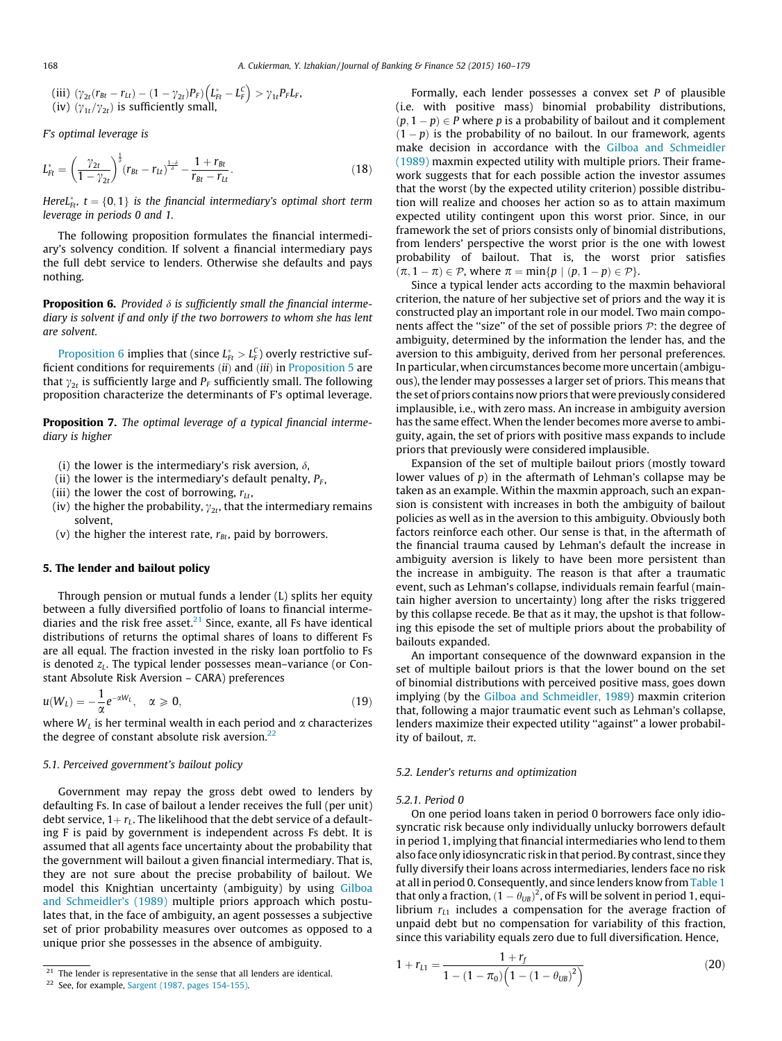<span id="page-8-0"></span>(iii) 
$$
(\gamma_{2t}(r_{Bt} - r_{Lt}) - (1 - \gamma_{2t})P_F)\left(L_{Ft}^* - L_F^C\right) > \gamma_{1t}P_F L_F
$$
,  
(iv)  $(\gamma_{1t}/\gamma_{2t})$  is sufficiently small,

F's optimal leverage is

$$
L_{Ft}^{*} = \left(\frac{\gamma_{2t}}{1-\gamma_{2t}}\right)^{\frac{1}{\delta}} (r_{Bt} - r_{Lt})^{\frac{1-\delta}{\delta}} - \frac{1+r_{Bt}}{r_{Bt} - r_{Lt}}.
$$
(18)

Here $L_{Ft}^*$ ,  $t = \{0, 1\}$  is the financial intermediary's optimal short term leverage in periods 0 and 1.

The following proposition formulates the financial intermediary's solvency condition. If solvent a financial intermediary pays the full debt service to lenders. Otherwise she defaults and pays nothing.

**Proposition 6.** Provided  $\delta$  is sufficiently small the financial intermediary is solvent if and only if the two borrowers to whom she has lent are solvent.

Proposition 6 implies that (since  $L_{\text{F}t}^* > L_{\text{F}}^{\text{C}}$ ) overly restrictive sufficient conditions for requirements  $(ii)$  and  $(iii)$  in [Proposition 5](#page-7-0) are that  $\gamma_{2t}$  is sufficiently large and  $P_F$  sufficiently small. The following proposition characterize the determinants of F's optimal leverage.

Proposition 7. The optimal leverage of a typical financial intermediary is higher

- (i) the lower is the intermediary's risk aversion,  $\delta$ ,
- (ii) the lower is the intermediary's default penalty,  $P_F$ ,
- (iii) the lower the cost of borrowing,  $r_{Lt}$ ,
- (iv) the higher the probability,  $\gamma_{2t}$ , that the intermediary remains solvent,
- (v) the higher the interest rate,  $r_{Bt}$ , paid by borrowers.

## 5. The lender and bailout policy

Through pension or mutual funds a lender (L) splits her equity between a fully diversified portfolio of loans to financial intermediaries and the risk free asset. $21$  Since, exante, all Fs have identical distributions of returns the optimal shares of loans to different Fs are all equal. The fraction invested in the risky loan portfolio to Fs is denoted  $z_L$ . The typical lender possesses mean–variance (or Constant Absolute Risk Aversion – CARA) preferences

$$
u(W_L) = -\frac{1}{\alpha} e^{-\alpha W_L}, \quad \alpha \geq 0,
$$
\n(19)

where  $W_L$  is her terminal wealth in each period and  $\alpha$  characterizes the degree of constant absolute risk aversion. $22$ 

#### 5.1. Perceived government's bailout policy

Government may repay the gross debt owed to lenders by defaulting Fs. In case of bailout a lender receives the full (per unit) debt service,  $1+r<sub>L</sub>$ . The likelihood that the debt service of a defaulting F is paid by government is independent across Fs debt. It is assumed that all agents face uncertainty about the probability that the government will bailout a given financial intermediary. That is, they are not sure about the precise probability of bailout. We model this Knightian uncertainty (ambiguity) by using [Gilboa](#page-18-0) [and Schmeidler's \(1989\)](#page-18-0) multiple priors approach which postulates that, in the face of ambiguity, an agent possesses a subjective set of prior probability measures over outcomes as opposed to a unique prior she possesses in the absence of ambiguity.

Formally, each lender possesses a convex set P of plausible (i.e. with positive mass) binomial probability distributions,  $(p, 1-p) \in P$  where p is a probability of bailout and it complement  $(1-p)$  is the probability of no bailout. In our framework, agents make decision in accordance with the [Gilboa and Schmeidler](#page-18-0) [\(1989\)](#page-18-0) maxmin expected utility with multiple priors. Their framework suggests that for each possible action the investor assumes that the worst (by the expected utility criterion) possible distribution will realize and chooses her action so as to attain maximum expected utility contingent upon this worst prior. Since, in our framework the set of priors consists only of binomial distributions, from lenders' perspective the worst prior is the one with lowest probability of bailout. That is, the worst prior satisfies  $(\pi, 1 - \pi) \in \mathcal{P}$ , where  $\pi = \min\{p \mid (p, 1 - p) \in \mathcal{P}\}.$ 

Since a typical lender acts according to the maxmin behavioral criterion, the nature of her subjective set of priors and the way it is constructed play an important role in our model. Two main components affect the "size" of the set of possible priors  $P$ : the degree of ambiguity, determined by the information the lender has, and the aversion to this ambiguity, derived from her personal preferences. In particular, when circumstances become more uncertain (ambiguous), the lender may possesses a larger set of priors. This means that the set of priors contains now priors that were previously considered implausible, i.e., with zero mass. An increase in ambiguity aversion has the same effect. When the lender becomes more averse to ambiguity, again, the set of priors with positive mass expands to include priors that previously were considered implausible.

Expansion of the set of multiple bailout priors (mostly toward lower values of  $p$ ) in the aftermath of Lehman's collapse may be taken as an example. Within the maxmin approach, such an expansion is consistent with increases in both the ambiguity of bailout policies as well as in the aversion to this ambiguity. Obviously both factors reinforce each other. Our sense is that, in the aftermath of the financial trauma caused by Lehman's default the increase in ambiguity aversion is likely to have been more persistent than the increase in ambiguity. The reason is that after a traumatic event, such as Lehman's collapse, individuals remain fearful (maintain higher aversion to uncertainty) long after the risks triggered by this collapse recede. Be that as it may, the upshot is that following this episode the set of multiple priors about the probability of bailouts expanded.

An important consequence of the downward expansion in the set of multiple bailout priors is that the lower bound on the set of binomial distributions with perceived positive mass, goes down implying (by the [Gilboa and Schmeidler, 1989\)](#page-18-0) maxmin criterion that, following a major traumatic event such as Lehman's collapse, lenders maximize their expected utility ''against'' a lower probability of bailout,  $\pi$ .

#### 5.2. Lender's returns and optimization

#### 5.2.1. Period 0

On one period loans taken in period 0 borrowers face only idiosyncratic risk because only individually unlucky borrowers default in period 1, implying that financial intermediaries who lend to them also face only idiosyncratic risk in that period. By contrast, since they fully diversify their loans across intermediaries, lenders face no risk at all in period 0. Consequently, and since lenders know from [Table 1](#page-7-0) that only a fraction,  $(1 - \theta_{UB})^2$ , of Fs will be solvent in period 1, equilibrium  $r_{L1}$  includes a compensation for the average fraction of unpaid debt but no compensation for variability of this fraction, since this variability equals zero due to full diversification. Hence,

$$
1 + r_{L1} = \frac{1 + r_f}{1 - (1 - \pi_0) \left(1 - (1 - \theta_{UB})^2\right)}
$$
(20)

 $21$  The lender is representative in the sense that all lenders are identical.

<sup>22</sup> See, for example, [Sargent \(1987, pages 154-155\).](#page-18-0)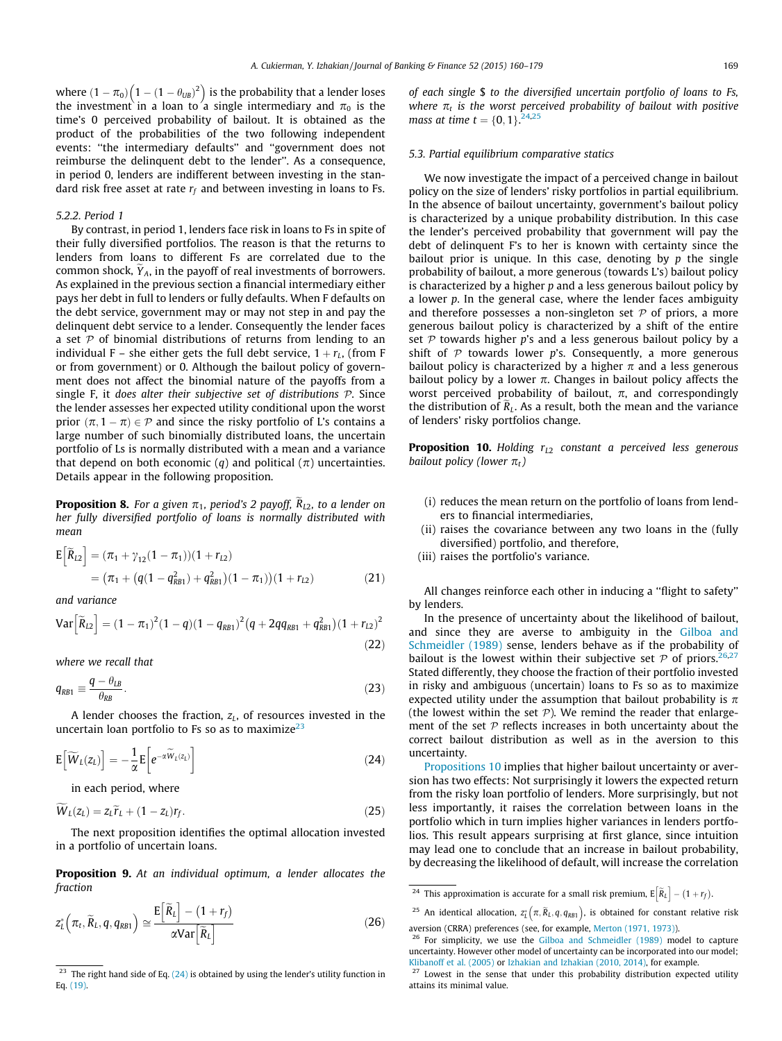<span id="page-9-0"></span>where  $(1 - \pi_0) \left( 1 - (1 - \theta_{UB})^2 \right)$  is the probability that a lender loses the investment in a loan to a single intermediary and  $\pi_0$  is the time's 0 perceived probability of bailout. It is obtained as the product of the probabilities of the two following independent events: ''the intermediary defaults'' and ''government does not reimburse the delinquent debt to the lender''. As a consequence, in period 0, lenders are indifferent between investing in the standard risk free asset at rate  $r_f$  and between investing in loans to Fs.

## 5.2.2. Period 1

By contrast, in period 1, lenders face risk in loans to Fs in spite of their fully diversified portfolios. The reason is that the returns to lenders from loans to different Fs are correlated due to the common shock,  $Y_A$ , in the payoff of real investments of borrowers. As explained in the previous section a financial intermediary either pays her debt in full to lenders or fully defaults. When F defaults on the debt service, government may or may not step in and pay the delinquent debt service to a lender. Consequently the lender faces a set  $P$  of binomial distributions of returns from lending to an individual F – she either gets the full debt service,  $1 + r<sub>L</sub>$ , (from F or from government) or 0. Although the bailout policy of government does not affect the binomial nature of the payoffs from a single F, it does alter their subjective set of distributions  $P$ . Since the lender assesses her expected utility conditional upon the worst prior  $(\pi, 1 - \pi) \in \mathcal{P}$  and since the risky portfolio of L's contains a large number of such binomially distributed loans, the uncertain portfolio of Ls is normally distributed with a mean and a variance that depend on both economic (q) and political ( $\pi$ ) uncertainties. Details appear in the following proposition.

**Proposition 8.** For a given  $\pi_1$ , period's 2 payoff,  $\widetilde{R}_{L2}$ , to a lender on her fully diversified portfolio of loans is normally distributed with mean

$$
E\left[\widetilde{R}_{L2}\right] = (\pi_1 + \gamma_{12}(1 - \pi_1))(1 + r_{L2})
$$
  
= (\pi\_1 + (q(1 - q\_{RB1}^2) + q\_{RB1}^2)(1 - \pi\_1))(1 + r\_{L2}) (21)

and variance

Var 
$$
\left[\widetilde{R}_{L2}\right]
$$
 =  $(1 - \pi_1)^2 (1 - q)(1 - q_{RB1})^2 (q + 2qq_{RB1} + q_{RB1}^2)(1 + r_{L2})^2$  (22)

where we recall that

$$
q_{RB1} \equiv \frac{q - \theta_{LB}}{\theta_{RB}}.\tag{23}
$$

A lender chooses the fraction,  $z<sub>L</sub>$ , of resources invested in the uncertain loan portfolio to Fs so as to maximize<sup>23</sup>

$$
E\left[\widetilde{W}_L(z_L)\right] = -\frac{1}{\alpha}E\left[e^{-\alpha \widetilde{W}_L(z_L)}\right]
$$
\n(24)

in each period, where

$$
\widetilde{W}_L(z_L) = z_L \widetilde{r}_L + (1 - z_L) r_f. \tag{25}
$$

The next proposition identifies the optimal allocation invested in a portfolio of uncertain loans.

Proposition 9. At an individual optimum, a lender allocates the fraction

$$
z_{L}^{*}\left(\pi_{t}, \widetilde{R}_{L}, q, q_{RB1}\right) \simeq \frac{\mathsf{E}\left[\widetilde{R}_{L}\right] - (1 + r_{f})}{\alpha \mathsf{Var}\left[\widetilde{R}_{L}\right]}
$$
\n(26)

of each single \$ to the diversified uncertain portfolio of loans to Fs, where  $\pi_t$  is the worst perceived probability of bailout with positive mass at time  $t = \{0, 1\}^{24,25}$ 

## 5.3. Partial equilibrium comparative statics

We now investigate the impact of a perceived change in bailout policy on the size of lenders' risky portfolios in partial equilibrium. In the absence of bailout uncertainty, government's bailout policy is characterized by a unique probability distribution. In this case the lender's perceived probability that government will pay the debt of delinquent F's to her is known with certainty since the bailout prior is unique. In this case, denoting by  $p$  the single probability of bailout, a more generous (towards L's) bailout policy is characterized by a higher  $p$  and a less generous bailout policy by a lower p. In the general case, where the lender faces ambiguity and therefore possesses a non-singleton set  $P$  of priors, a more generous bailout policy is characterized by a shift of the entire set  $P$  towards higher  $p$ 's and a less generous bailout policy by a shift of  $P$  towards lower  $p$ 's. Consequently, a more generous bailout policy is characterized by a higher  $\pi$  and a less generous bailout policy by a lower  $\pi$ . Changes in bailout policy affects the worst perceived probability of bailout,  $\pi$ , and correspondingly the distribution of  $R_L$ . As a result, both the mean and the variance of lenders' risky portfolios change.

**Proposition 10.** Holding  $r_{L2}$  constant a perceived less generous bailout policy (lower  $\pi_t$ )

- (i) reduces the mean return on the portfolio of loans from lenders to financial intermediaries,
- (ii) raises the covariance between any two loans in the (fully diversified) portfolio, and therefore,
- (iii) raises the portfolio's variance.

All changes reinforce each other in inducing a ''flight to safety'' by lenders.

In the presence of uncertainty about the likelihood of bailout, and since they are averse to ambiguity in the [Gilboa and](#page-18-0) [Schmeidler \(1989\)](#page-18-0) sense, lenders behave as if the probability of bailout is the lowest within their subjective set  $\mathcal P$  of priors.<sup>2</sup> Stated differently, they choose the fraction of their portfolio invested in risky and ambiguous (uncertain) loans to Fs so as to maximize expected utility under the assumption that bailout probability is  $\pi$ (the lowest within the set  $P$ ). We remind the reader that enlargement of the set  $P$  reflects increases in both uncertainty about the correct bailout distribution as well as in the aversion to this uncertainty.

Propositions 10 implies that higher bailout uncertainty or aversion has two effects: Not surprisingly it lowers the expected return from the risky loan portfolio of lenders. More surprisingly, but not less importantly, it raises the correlation between loans in the portfolio which in turn implies higher variances in lenders portfolios. This result appears surprising at first glance, since intuition may lead one to conclude that an increase in bailout probability, by decreasing the likelihood of default, will increase the correlation

<sup>&</sup>lt;sup>23</sup> The right hand side of Eq.  $(24)$  is obtained by using the lender's utility function in Eq. [\(19\).](#page-8-0)

<sup>&</sup>lt;sup>24</sup> This approximation is accurate for a small risk premium,  $E[\tilde{R}_L] - (1 + r_f)$ .

<sup>&</sup>lt;sup>25</sup> An identical allocation,  $z^*_{\rm L}(\pi, \widetilde{R}_{\rm L}, q, q_{\rm RB1})$ , is obtained for constant relative risk aversion (CRRA) preferences (see, for example, [Merton \(1971, 1973\)](#page-18-0)).

 $26$  For simplicity, we use the [Gilboa and Schmeidler \(1989\)](#page-18-0) model to capture uncertainty. However other model of uncertainty can be incorporated into our model; [Klibanoff et al. \(2005\)](#page-18-0) or [Izhakian and Izhakian \(2010, 2014\)](#page-18-0), for example.

 $27$  Lowest in the sense that under this probability distribution expected utility attains its minimal value.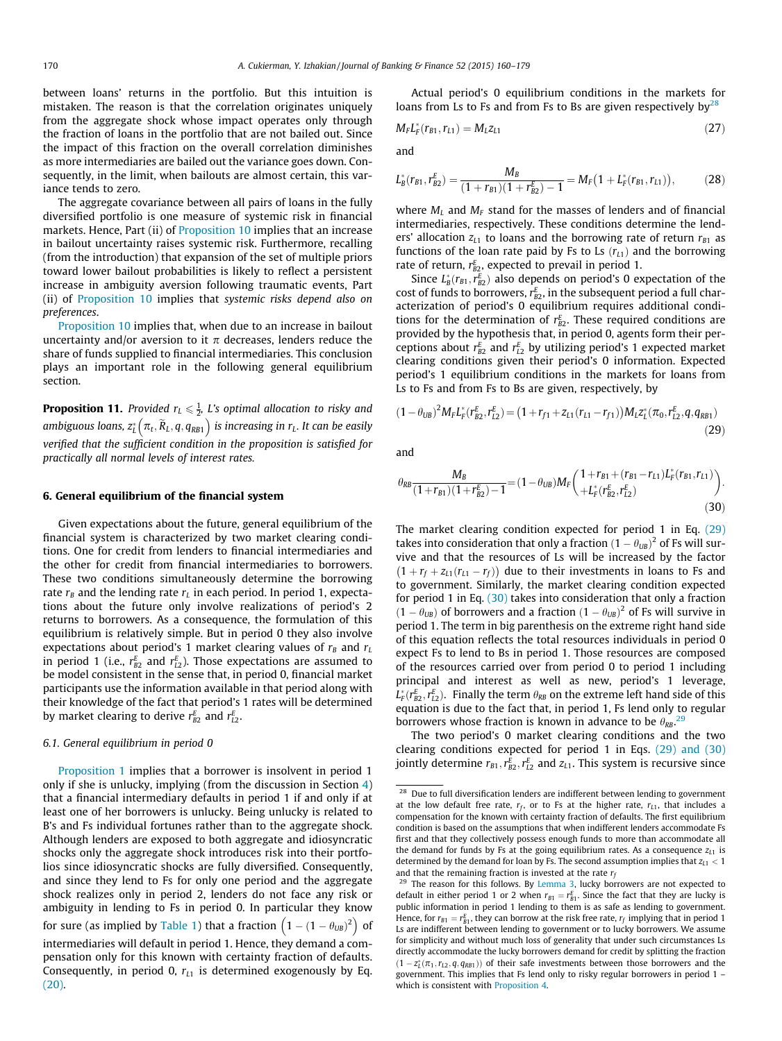<span id="page-10-0"></span>between loans' returns in the portfolio. But this intuition is mistaken. The reason is that the correlation originates uniquely from the aggregate shock whose impact operates only through the fraction of loans in the portfolio that are not bailed out. Since the impact of this fraction on the overall correlation diminishes as more intermediaries are bailed out the variance goes down. Consequently, in the limit, when bailouts are almost certain, this variance tends to zero.

The aggregate covariance between all pairs of loans in the fully diversified portfolio is one measure of systemic risk in financial markets. Hence, Part (ii) of [Proposition 10](#page-9-0) implies that an increase in bailout uncertainty raises systemic risk. Furthermore, recalling (from the introduction) that expansion of the set of multiple priors toward lower bailout probabilities is likely to reflect a persistent increase in ambiguity aversion following traumatic events, Part (ii) of [Proposition 10](#page-9-0) implies that systemic risks depend also on preferences.

[Proposition 10](#page-9-0) implies that, when due to an increase in bailout uncertainty and/or aversion to it  $\pi$  decreases, lenders reduce the share of funds supplied to financial intermediaries. This conclusion plays an important role in the following general equilibrium section.

**Proposition 11.** Provided  $r_L \leqslant \frac{1}{2}$ , L's optimal allocation to risky and ambiguous loans,  $z^*_{L}(\pi_t, \widetilde{R}_L, q, q_{RB1})$  is increasing in  $r_L$ . It can be easily verified that the sufficient condition in the proposition is satisfied for practically all normal levels of interest rates.

#### 6. General equilibrium of the financial system

Given expectations about the future, general equilibrium of the financial system is characterized by two market clearing conditions. One for credit from lenders to financial intermediaries and the other for credit from financial intermediaries to borrowers. These two conditions simultaneously determine the borrowing rate  $r_B$  and the lending rate  $r_L$  in each period. In period 1, expectations about the future only involve realizations of period's 2 returns to borrowers. As a consequence, the formulation of this equilibrium is relatively simple. But in period 0 they also involve expectations about period's 1 market clearing values of  $r_B$  and  $r_L$ in period 1 (i.e.,  $r_{B2}^E$  and  $r_{L2}^E$ ). Those expectations are assumed to be model consistent in the sense that, in period 0, financial market participants use the information available in that period along with their knowledge of the fact that period's 1 rates will be determined by market clearing to derive  $r^{\rm E}_{\rm B2}$  and  $r^{\rm E}_{\rm L2}.$ 

#### 6.1. General equilibrium in period 0

[Proposition 1](#page-6-0) implies that a borrower is insolvent in period 1 only if she is unlucky, implying (from the discussion in Section [4\)](#page-6-0) that a financial intermediary defaults in period 1 if and only if at least one of her borrowers is unlucky. Being unlucky is related to B's and Fs individual fortunes rather than to the aggregate shock. Although lenders are exposed to both aggregate and idiosyncratic shocks only the aggregate shock introduces risk into their portfolios since idiosyncratic shocks are fully diversified. Consequently, and since they lend to Fs for only one period and the aggregate shock realizes only in period 2, lenders do not face any risk or ambiguity in lending to Fs in period 0. In particular they know for sure (as implied by [Table 1](#page-7-0)) that a fraction  $(1 - (1 - \theta_{UB})^2)$  of intermediaries will default in period 1. Hence, they demand a compensation only for this known with certainty fraction of defaults. Consequently, in period 0,  $r_{L1}$  is determined exogenously by Eq.  $(20)$ .

Actual period's 0 equilibrium conditions in the markets for loans from Ls to Fs and from Fs to Bs are given respectively  $bv^{28}$ 

$$
M_F L_F^*(r_{B1}, r_{L1}) = M_L z_{L1}
$$
 (27)

and

$$
L_B^*(r_{B1}, r_{B2}^E) = \frac{M_B}{(1 + r_{B1})(1 + r_{B2}^E) - 1} = M_F(1 + L_F^*(r_{B1}, r_{L1})),
$$
 (28)

where  $M_l$  and  $M_F$  stand for the masses of lenders and of financial intermediaries, respectively. These conditions determine the lenders' allocation  $z_{L1}$  to loans and the borrowing rate of return  $r_{B1}$  as functions of the loan rate paid by Fs to Ls  $(r_{L1})$  and the borrowing rate of return,  $r_{B2}^E$ , expected to prevail in period 1.

Since  $L^*_B(r_{B1}, r_{B2}^E)$  also depends on period's 0 expectation of the cost of funds to borrowers,  $r_{B2}^E$ , in the subsequent period a full characterization of period's 0 equilibrium requires additional conditions for the determination of  $r_{B2}^E$ . These required conditions are provided by the hypothesis that, in period 0, agents form their perceptions about  $r_{B2}^E$  and  $r_{L2}^E$  by utilizing period's 1 expected market clearing conditions given their period's 0 information. Expected period's 1 equilibrium conditions in the markets for loans from Ls to Fs and from Fs to Bs are given, respectively, by

$$
(1 - \theta_{UB})^2 M_F L_F^* (r_{B2}^E, r_{L2}^E) = (1 + r_{f1} + z_{L1}(r_{L1} - r_{f1})) M_L z_L^* (\pi_0, r_{L2}^E, q, q_{RB1})
$$
\n(29)

and

$$
\theta_{RB} \frac{M_B}{(1+r_{B1})(1+r_{B2}^E)-1} = (1-\theta_{UB})M_F \begin{pmatrix} 1+r_{B1}+(r_{B1}-r_{L1})L_F^*(r_{B1},r_{L1}) \\ +L_F^*(r_{B2}^E,r_{L2}^E) \end{pmatrix} .
$$
\n(30)

The market clearing condition expected for period 1 in Eq.  $(29)$ takes into consideration that only a fraction  $(1 - \theta_{UB})^2$  of Fs will survive and that the resources of Ls will be increased by the factor  $(1 + r_f + z_{L1}(r_{L1} - r_f))$  due to their investments in loans to Fs and to government. Similarly, the market clearing condition expected for period 1 in Eq. (30) takes into consideration that only a fraction  $(1 - \theta_{UB})$  of borrowers and a fraction  $(1 - \theta_{UB})^2$  of Fs will survive in period 1. The term in big parenthesis on the extreme right hand side of this equation reflects the total resources individuals in period 0 expect Fs to lend to Bs in period 1. Those resources are composed of the resources carried over from period 0 to period 1 including principal and interest as well as new, period's 1 leverage,  $L_F^*(r_{B2}^E, r_{L2}^E)$ . Finally the term  $\theta_{RB}$  on the extreme left hand side of this equation is due to the fact that, in period 1, Fs lend only to regular borrowers whose fraction is known in advance to be  $\theta_{RB}$ .<sup>29</sup>

The two period's 0 market clearing conditions and the two clearing conditions expected for period 1 in Eqs. (29) and (30) jointly determine  $r_{B1}, r_{B2}^E, r_{L2}^E$  and  $z_{L1}$ . This system is recursive since

 $^{28}\,$  Due to full diversification lenders are indifferent between lending to government at the low default free rate,  $r_f$ , or to Fs at the higher rate,  $r_{L1}$ , that includes a compensation for the known with certainty fraction of defaults. The first equilibrium condition is based on the assumptions that when indifferent lenders accommodate Fs first and that they collectively possess enough funds to more than accommodate all the demand for funds by Fs at the going equilibrium rates. As a consequence  $z_{L1}$  is determined by the demand for loan by Fs. The second assumption implies that  $z_{L1} < 1$ and that the remaining fraction is invested at the rate  $r_f$ 

<sup>&</sup>lt;sup>29</sup> The reason for this follows. By [Lemma 3,](#page-5-0) lucky borrowers are not expected to default in either period 1 or 2 when  $r_{B1} = r_{B1}^E$ . Since the fact that they are lucky is public information in period 1 lending to them is as safe as lending to government. Hence, for  $r_{B1} = r_{B1}^E$ , they can borrow at the risk free rate,  $r_f$  implying that in period 1 Ls are indifferent between lending to government or to lucky borrowers. We assume for simplicity and without much loss of generality that under such circumstances Ls directly accommodate the lucky borrowers demand for credit by splitting the fraction  $(1 - z_L^*(\pi_1, r_{L2}, q, q_{RB1}))$  of their safe investments between those borrowers and the government. This implies that Fs lend only to risky regular borrowers in period 1 – which is consistent with [Proposition 4](#page-7-0).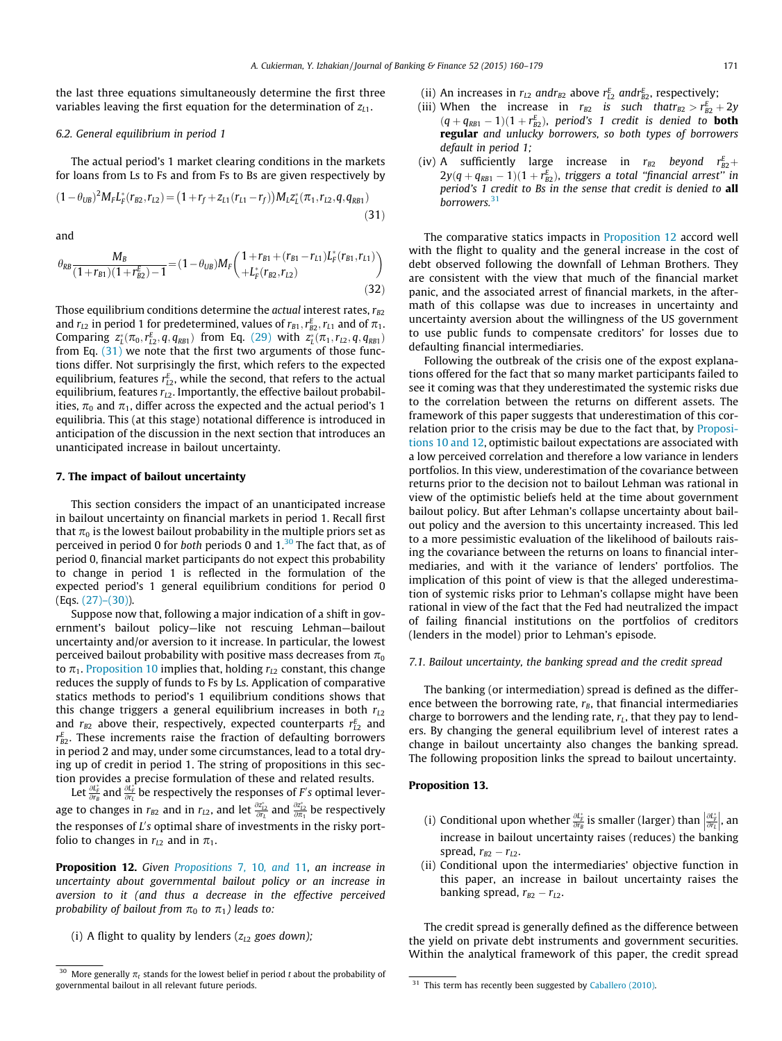<span id="page-11-0"></span>the last three equations simultaneously determine the first three variables leaving the first equation for the determination of  $z_{L1}$ .

#### 6.2. General equilibrium in period 1

The actual period's 1 market clearing conditions in the markets for loans from Ls to Fs and from Fs to Bs are given respectively by

$$
(1 - \theta_{UB})^2 M_F L_F^*(r_{B2}, r_{L2}) = (1 + r_f + z_{L1}(r_{L1} - r_f)) M_L z_L^*(\pi_1, r_{L2}, q, q_{RB1})
$$
\n(31)

and

$$
\theta_{RB} \frac{M_B}{(1+r_{B1})(1+r_{B2}^E)-1} = (1-\theta_{UB})M_F \begin{pmatrix} 1+r_{B1}+(r_{B1}-r_{L1})L_F^*(r_{B1},r_{L1})\\ +L_F^*(r_{B2},r_{L2}) \end{pmatrix}
$$
\n(32)

Those equilibrium conditions determine the *actual* interest rates,  $r_{B2}$ and  $r_{L2}$  in period 1 for predetermined, values of  $r_{B1}, r_{B2}^E, r_{L1}$  and of  $\pi_1$ . Comparing  $z_l^*(\pi_0, r_{l2}^E, q, q_{RB1})$  from Eq. [\(29\)](#page-10-0) with  $z_l^*(\pi_1, r_{l2}, q, q_{RB1})$ from Eq. (31) we note that the first two arguments of those functions differ. Not surprisingly the first, which refers to the expected equilibrium, features  $r_{L2}^{\mathrm{E}}$ , while the second, that refers to the actual equilibrium, features  $r_{L2}$ . Importantly, the effective bailout probabilities,  $\pi_0$  and  $\pi_1$ , differ across the expected and the actual period's 1 equilibria. This (at this stage) notational difference is introduced in anticipation of the discussion in the next section that introduces an unanticipated increase in bailout uncertainty.

## 7. The impact of bailout uncertainty

This section considers the impact of an unanticipated increase in bailout uncertainty on financial markets in period 1. Recall first that  $\pi_0$  is the lowest bailout probability in the multiple priors set as perceived in period 0 for both periods 0 and 1.<sup>30</sup> The fact that, as of period 0, financial market participants do not expect this probability to change in period 1 is reflected in the formulation of the expected period's 1 general equilibrium conditions for period 0 (Eqs. [\(27\)–\(30\)\)](#page-10-0).

Suppose now that, following a major indication of a shift in government's bailout policy—like not rescuing Lehman—bailout uncertainty and/or aversion to it increase. In particular, the lowest perceived bailout probability with positive mass decreases from  $\pi_0$ to  $\pi_1$ . [Proposition 10](#page-9-0) implies that, holding  $r_{12}$  constant, this change reduces the supply of funds to Fs by Ls. Application of comparative statics methods to period's 1 equilibrium conditions shows that this change triggers a general equilibrium increases in both  $r_{L2}$ and  $r_{B2}$  above their, respectively, expected counterparts  $r_{L2}^{E}$  and  $r_{B2}^E$ . These increments raise the fraction of defaulting borrowers in period 2 and may, under some circumstances, lead to a total drying up of credit in period 1. The string of propositions in this section provides a precise formulation of these and related results.

Let  $\frac{\partial L_F^*}{\partial r_B}$  and  $\frac{\partial L_F^*}{\partial r_L}$  be respectively the responses of F's optimal leverage to changes in  $r_{B2}$  and in  $r_{L2}$ , and let  $\frac{\partial z_{L2}^*}{\partial r_L}$  and  $\frac{\partial z_{L2}^*}{\partial n_L}$  be respectively the responses of  $L's$  optimal share of investments in the risky portfolio to changes in  $r_{L2}$  and in  $\pi_1$ .

Proposition 12. Given [Propositions](#page-8-0) 7, 10, and 11, an increase in uncertainty about governmental bailout policy or an increase in aversion to it (and thus a decrease in the effective perceived probability of bailout from  $\pi_0$  to  $\pi_1$ ) leads to:

(i) A flight to quality by lenders ( $z_{L2}$  goes down);

- (ii) An increases in  $r_{L2}$  and $r_{B2}$  above  $r_{L2}^E$  and $r_{B2}^E$ , respectively;
- (iii) When the increase in  $r_{B2}$  is such that  $r_{B2} > r_{B2}^E + 2y$  $(q+q_{RB1}-1)(1+r_{B2}^E)$ , period's 1 credit is denied to **both** regular and unlucky borrowers, so both types of borrowers default in period 1;
- (iv) A sufficiently large increase in  $r_{B2}$  beyond  $r_{B2}^E +$  $2y(q + q_{RB1} - 1)(1 + r_{B2}^E)$ , triggers a total "financial arrest" in period's 1 credit to Bs in the sense that credit is denied to all borrowers.<sup>31</sup>

The comparative statics impacts in Proposition 12 accord well with the flight to quality and the general increase in the cost of debt observed following the downfall of Lehman Brothers. They are consistent with the view that much of the financial market panic, and the associated arrest of financial markets, in the aftermath of this collapse was due to increases in uncertainty and uncertainty aversion about the willingness of the US government to use public funds to compensate creditors' for losses due to defaulting financial intermediaries.

Following the outbreak of the crisis one of the expost explanations offered for the fact that so many market participants failed to see it coming was that they underestimated the systemic risks due to the correlation between the returns on different assets. The framework of this paper suggests that underestimation of this cor-relation prior to the crisis may be due to the fact that, by [Proposi](#page-9-0)[tions 10 and 12,](#page-9-0) optimistic bailout expectations are associated with a low perceived correlation and therefore a low variance in lenders portfolios. In this view, underestimation of the covariance between returns prior to the decision not to bailout Lehman was rational in view of the optimistic beliefs held at the time about government bailout policy. But after Lehman's collapse uncertainty about bailout policy and the aversion to this uncertainty increased. This led to a more pessimistic evaluation of the likelihood of bailouts raising the covariance between the returns on loans to financial intermediaries, and with it the variance of lenders' portfolios. The implication of this point of view is that the alleged underestimation of systemic risks prior to Lehman's collapse might have been rational in view of the fact that the Fed had neutralized the impact of failing financial institutions on the portfolios of creditors (lenders in the model) prior to Lehman's episode.

## 7.1. Bailout uncertainty, the banking spread and the credit spread

The banking (or intermediation) spread is defined as the difference between the borrowing rate,  $r_B$ , that financial intermediaries charge to borrowers and the lending rate,  $r<sub>L</sub>$ , that they pay to lenders. By changing the general equilibrium level of interest rates a change in bailout uncertainty also changes the banking spread. The following proposition links the spread to bailout uncertainty.

## Proposition 13.

- (i) Conditional upon whether  $\frac{\partial L_{F}^{*}}{\partial r_{B}}$  is smaller (larger) than  $\left|\frac{\partial L_{I}^{*}}{\partial r_{I}}\right|$  $\begin{array}{c} \begin{array}{c} \begin{array}{c} \end{array} \end{array} \end{array}$  $\parallel$ , an increase in bailout uncertainty raises (reduces) the banking spread,  $r_{B2} - r_{L2}$ .
- (ii) Conditional upon the intermediaries' objective function in this paper, an increase in bailout uncertainty raises the banking spread,  $r_{B2} - r_{L2}$ .

The credit spread is generally defined as the difference between the yield on private debt instruments and government securities. Within the analytical framework of this paper, the credit spread

More generally  $\pi_t$  stands for the lowest belief in period t about the probability of governmental bailout in all relevant future periods. <sup>31</sup> This term has recently been suggested by [Caballero \(2010\).](#page-18-0)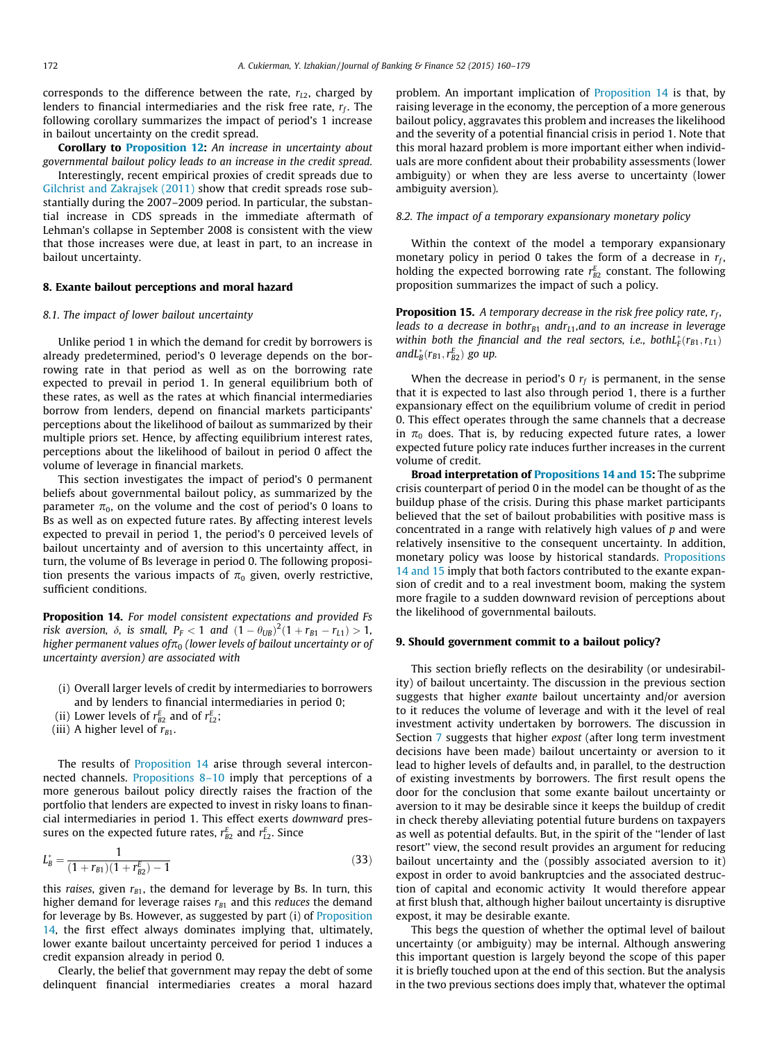<span id="page-12-0"></span>corresponds to the difference between the rate,  $r_{12}$ , charged by lenders to financial intermediaries and the risk free rate,  $r_f$ . The following corollary summarizes the impact of period's 1 increase in bailout uncertainty on the credit spread.

Corollary to **[Proposition 12](#page-11-0):** An increase in uncertainty about governmental bailout policy leads to an increase in the credit spread. Interestingly, recent empirical proxies of credit spreads due to [Gilchrist and Zakrajsek \(2011\)](#page-18-0) show that credit spreads rose substantially during the 2007–2009 period. In particular, the substantial increase in CDS spreads in the immediate aftermath of Lehman's collapse in September 2008 is consistent with the view that those increases were due, at least in part, to an increase in

#### 8. Exante bailout perceptions and moral hazard

#### 8.1. The impact of lower bailout uncertainty

bailout uncertainty.

Unlike period 1 in which the demand for credit by borrowers is already predetermined, period's 0 leverage depends on the borrowing rate in that period as well as on the borrowing rate expected to prevail in period 1. In general equilibrium both of these rates, as well as the rates at which financial intermediaries borrow from lenders, depend on financial markets participants' perceptions about the likelihood of bailout as summarized by their multiple priors set. Hence, by affecting equilibrium interest rates, perceptions about the likelihood of bailout in period 0 affect the volume of leverage in financial markets.

This section investigates the impact of period's 0 permanent beliefs about governmental bailout policy, as summarized by the parameter  $\pi_0$ , on the volume and the cost of period's 0 loans to Bs as well as on expected future rates. By affecting interest levels expected to prevail in period 1, the period's 0 perceived levels of bailout uncertainty and of aversion to this uncertainty affect, in turn, the volume of Bs leverage in period 0. The following proposition presents the various impacts of  $\pi_0$  given, overly restrictive, sufficient conditions.

Proposition 14. For model consistent expectations and provided Fs risk aversion,  $\delta$ , is small,  $P_F < 1$  and  $(1 - \theta_{UB})^2 (1 + r_{B1} - r_{L1}) > 1$ , higher permanent values of  $\pi_0$  (lower levels of bailout uncertainty or of uncertainty aversion) are associated with

- (i) Overall larger levels of credit by intermediaries to borrowers and by lenders to financial intermediaries in period 0;
- (ii) Lower levels of  $r_{B2}^E$  and of  $r_{L2}^E$ ;
- (iii) A higher level of  $r_{B1}$ .

The results of Proposition 14 arise through several interconnected channels. [Propositions 8–10](#page-9-0) imply that perceptions of a more generous bailout policy directly raises the fraction of the portfolio that lenders are expected to invest in risky loans to financial intermediaries in period 1. This effect exerts downward pressures on the expected future rates,  $r_{B2}^E$  and  $r_{L2}^E$ . Since

$$
L_B^* = \frac{1}{(1 + r_{B1})(1 + r_{B2}^E) - 1} \tag{33}
$$

this raises, given  $r_{B1}$ , the demand for leverage by Bs. In turn, this higher demand for leverage raises  $r_{B1}$  and this reduces the demand for leverage by Bs. However, as suggested by part (i) of Proposition 14, the first effect always dominates implying that, ultimately, lower exante bailout uncertainty perceived for period 1 induces a credit expansion already in period 0.

Clearly, the belief that government may repay the debt of some delinquent financial intermediaries creates a moral hazard problem. An important implication of Proposition 14 is that, by raising leverage in the economy, the perception of a more generous bailout policy, aggravates this problem and increases the likelihood and the severity of a potential financial crisis in period 1. Note that this moral hazard problem is more important either when individuals are more confident about their probability assessments (lower ambiguity) or when they are less averse to uncertainty (lower ambiguity aversion).

#### 8.2. The impact of a temporary expansionary monetary policy

Within the context of the model a temporary expansionary monetary policy in period 0 takes the form of a decrease in  $r_f$ , holding the expected borrowing rate  $r_{B2}^E$  constant. The following proposition summarizes the impact of such a policy.

**Proposition 15.** A temporary decrease in the risk free policy rate,  $r_f$ , leads to a decrease in bothr $_{B1}$  andr<sub>L1</sub>, and to an increase in leverage within both the financial and the real sectors, i.e., both $L_F^*(r_{B1}, r_{L1})$ and $L_B^*(r_{B1}, r_{B2}^E)$  go up.

When the decrease in period's 0  $r_f$  is permanent, in the sense that it is expected to last also through period 1, there is a further expansionary effect on the equilibrium volume of credit in period 0. This effect operates through the same channels that a decrease in  $\pi_0$  does. That is, by reducing expected future rates, a lower expected future policy rate induces further increases in the current volume of credit.

Broad interpretation of Propositions 14 and 15: The subprime crisis counterpart of period 0 in the model can be thought of as the buildup phase of the crisis. During this phase market participants believed that the set of bailout probabilities with positive mass is concentrated in a range with relatively high values of  $p$  and were relatively insensitive to the consequent uncertainty. In addition, monetary policy was loose by historical standards. Propositions 14 and 15 imply that both factors contributed to the exante expansion of credit and to a real investment boom, making the system more fragile to a sudden downward revision of perceptions about the likelihood of governmental bailouts.

#### 9. Should government commit to a bailout policy?

This section briefly reflects on the desirability (or undesirability) of bailout uncertainty. The discussion in the previous section suggests that higher exante bailout uncertainty and/or aversion to it reduces the volume of leverage and with it the level of real investment activity undertaken by borrowers. The discussion in Section [7](#page-11-0) suggests that higher expost (after long term investment decisions have been made) bailout uncertainty or aversion to it lead to higher levels of defaults and, in parallel, to the destruction of existing investments by borrowers. The first result opens the door for the conclusion that some exante bailout uncertainty or aversion to it may be desirable since it keeps the buildup of credit in check thereby alleviating potential future burdens on taxpayers as well as potential defaults. But, in the spirit of the ''lender of last resort'' view, the second result provides an argument for reducing bailout uncertainty and the (possibly associated aversion to it) expost in order to avoid bankruptcies and the associated destruction of capital and economic activity It would therefore appear at first blush that, although higher bailout uncertainty is disruptive expost, it may be desirable exante.

This begs the question of whether the optimal level of bailout uncertainty (or ambiguity) may be internal. Although answering this important question is largely beyond the scope of this paper it is briefly touched upon at the end of this section. But the analysis in the two previous sections does imply that, whatever the optimal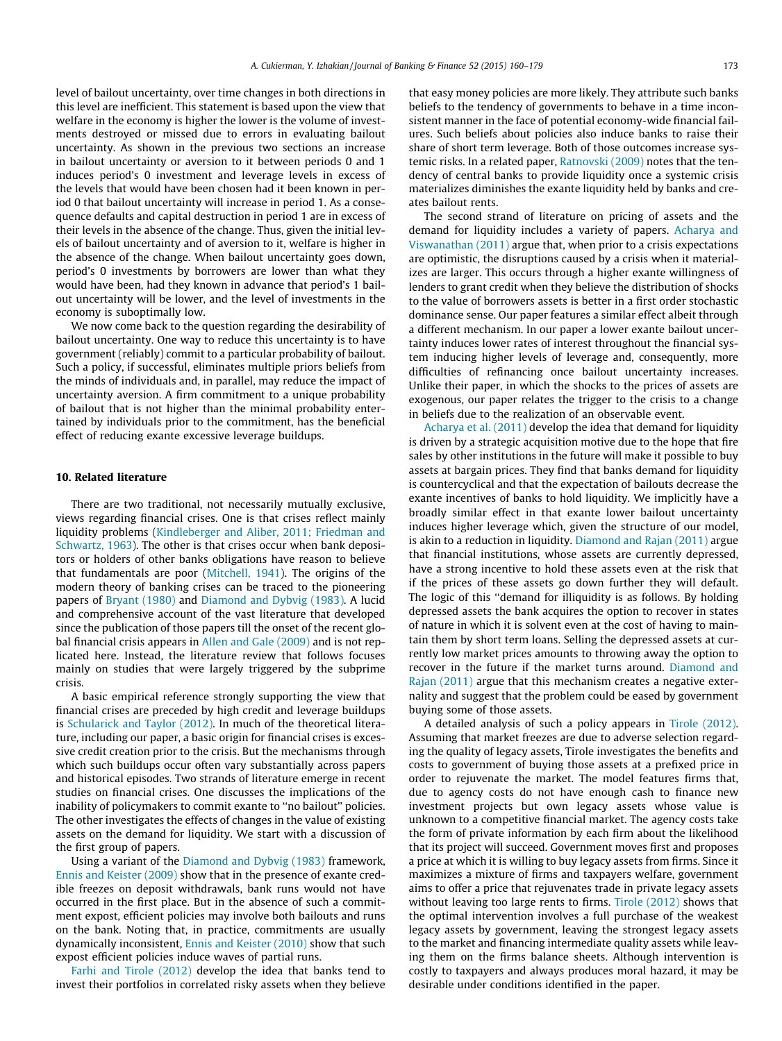<span id="page-13-0"></span>level of bailout uncertainty, over time changes in both directions in this level are inefficient. This statement is based upon the view that welfare in the economy is higher the lower is the volume of investments destroyed or missed due to errors in evaluating bailout uncertainty. As shown in the previous two sections an increase in bailout uncertainty or aversion to it between periods 0 and 1 induces period's 0 investment and leverage levels in excess of the levels that would have been chosen had it been known in period 0 that bailout uncertainty will increase in period 1. As a consequence defaults and capital destruction in period 1 are in excess of their levels in the absence of the change. Thus, given the initial levels of bailout uncertainty and of aversion to it, welfare is higher in the absence of the change. When bailout uncertainty goes down, period's 0 investments by borrowers are lower than what they would have been, had they known in advance that period's 1 bailout uncertainty will be lower, and the level of investments in the economy is suboptimally low.

We now come back to the question regarding the desirability of bailout uncertainty. One way to reduce this uncertainty is to have government (reliably) commit to a particular probability of bailout. Such a policy, if successful, eliminates multiple priors beliefs from the minds of individuals and, in parallel, may reduce the impact of uncertainty aversion. A firm commitment to a unique probability of bailout that is not higher than the minimal probability entertained by individuals prior to the commitment, has the beneficial effect of reducing exante excessive leverage buildups.

## 10. Related literature

There are two traditional, not necessarily mutually exclusive, views regarding financial crises. One is that crises reflect mainly liquidity problems [\(Kindleberger and Aliber, 2011; Friedman and](#page-18-0) [Schwartz, 1963\)](#page-18-0). The other is that crises occur when bank depositors or holders of other banks obligations have reason to believe that fundamentals are poor ([Mitchell, 1941\)](#page-18-0). The origins of the modern theory of banking crises can be traced to the pioneering papers of [Bryant \(1980\)](#page-18-0) and [Diamond and Dybvig \(1983\).](#page-18-0) A lucid and comprehensive account of the vast literature that developed since the publication of those papers till the onset of the recent global financial crisis appears in [Allen and Gale \(2009\)](#page-18-0) and is not replicated here. Instead, the literature review that follows focuses mainly on studies that were largely triggered by the subprime crisis.

A basic empirical reference strongly supporting the view that financial crises are preceded by high credit and leverage buildups is [Schularick and Taylor \(2012\)](#page-18-0). In much of the theoretical literature, including our paper, a basic origin for financial crises is excessive credit creation prior to the crisis. But the mechanisms through which such buildups occur often vary substantially across papers and historical episodes. Two strands of literature emerge in recent studies on financial crises. One discusses the implications of the inability of policymakers to commit exante to ''no bailout'' policies. The other investigates the effects of changes in the value of existing assets on the demand for liquidity. We start with a discussion of the first group of papers.

Using a variant of the [Diamond and Dybvig \(1983\)](#page-18-0) framework, [Ennis and Keister \(2009\)](#page-18-0) show that in the presence of exante credible freezes on deposit withdrawals, bank runs would not have occurred in the first place. But in the absence of such a commitment expost, efficient policies may involve both bailouts and runs on the bank. Noting that, in practice, commitments are usually dynamically inconsistent, [Ennis and Keister \(2010\)](#page-18-0) show that such expost efficient policies induce waves of partial runs.

[Farhi and Tirole \(2012\)](#page-18-0) develop the idea that banks tend to invest their portfolios in correlated risky assets when they believe that easy money policies are more likely. They attribute such banks beliefs to the tendency of governments to behave in a time inconsistent manner in the face of potential economy-wide financial failures. Such beliefs about policies also induce banks to raise their share of short term leverage. Both of those outcomes increase sys-temic risks. In a related paper, [Ratnovski \(2009\)](#page-18-0) notes that the tendency of central banks to provide liquidity once a systemic crisis materializes diminishes the exante liquidity held by banks and creates bailout rents.

The second strand of literature on pricing of assets and the demand for liquidity includes a variety of papers. [Acharya and](#page-18-0) [Viswanathan \(2011\)](#page-18-0) argue that, when prior to a crisis expectations are optimistic, the disruptions caused by a crisis when it materializes are larger. This occurs through a higher exante willingness of lenders to grant credit when they believe the distribution of shocks to the value of borrowers assets is better in a first order stochastic dominance sense. Our paper features a similar effect albeit through a different mechanism. In our paper a lower exante bailout uncertainty induces lower rates of interest throughout the financial system inducing higher levels of leverage and, consequently, more difficulties of refinancing once bailout uncertainty increases. Unlike their paper, in which the shocks to the prices of assets are exogenous, our paper relates the trigger to the crisis to a change in beliefs due to the realization of an observable event.

[Acharya et al. \(2011\)](#page-18-0) develop the idea that demand for liquidity is driven by a strategic acquisition motive due to the hope that fire sales by other institutions in the future will make it possible to buy assets at bargain prices. They find that banks demand for liquidity is countercyclical and that the expectation of bailouts decrease the exante incentives of banks to hold liquidity. We implicitly have a broadly similar effect in that exante lower bailout uncertainty induces higher leverage which, given the structure of our model, is akin to a reduction in liquidity. [Diamond and Rajan \(2011\)](#page-18-0) argue that financial institutions, whose assets are currently depressed, have a strong incentive to hold these assets even at the risk that if the prices of these assets go down further they will default. The logic of this ''demand for illiquidity is as follows. By holding depressed assets the bank acquires the option to recover in states of nature in which it is solvent even at the cost of having to maintain them by short term loans. Selling the depressed assets at currently low market prices amounts to throwing away the option to recover in the future if the market turns around. [Diamond and](#page-18-0) [Rajan \(2011\)](#page-18-0) argue that this mechanism creates a negative externality and suggest that the problem could be eased by government buying some of those assets.

A detailed analysis of such a policy appears in [Tirole \(2012\).](#page-18-0) Assuming that market freezes are due to adverse selection regarding the quality of legacy assets, Tirole investigates the benefits and costs to government of buying those assets at a prefixed price in order to rejuvenate the market. The model features firms that, due to agency costs do not have enough cash to finance new investment projects but own legacy assets whose value is unknown to a competitive financial market. The agency costs take the form of private information by each firm about the likelihood that its project will succeed. Government moves first and proposes a price at which it is willing to buy legacy assets from firms. Since it maximizes a mixture of firms and taxpayers welfare, government aims to offer a price that rejuvenates trade in private legacy assets without leaving too large rents to firms. [Tirole \(2012\)](#page-18-0) shows that the optimal intervention involves a full purchase of the weakest legacy assets by government, leaving the strongest legacy assets to the market and financing intermediate quality assets while leaving them on the firms balance sheets. Although intervention is costly to taxpayers and always produces moral hazard, it may be desirable under conditions identified in the paper.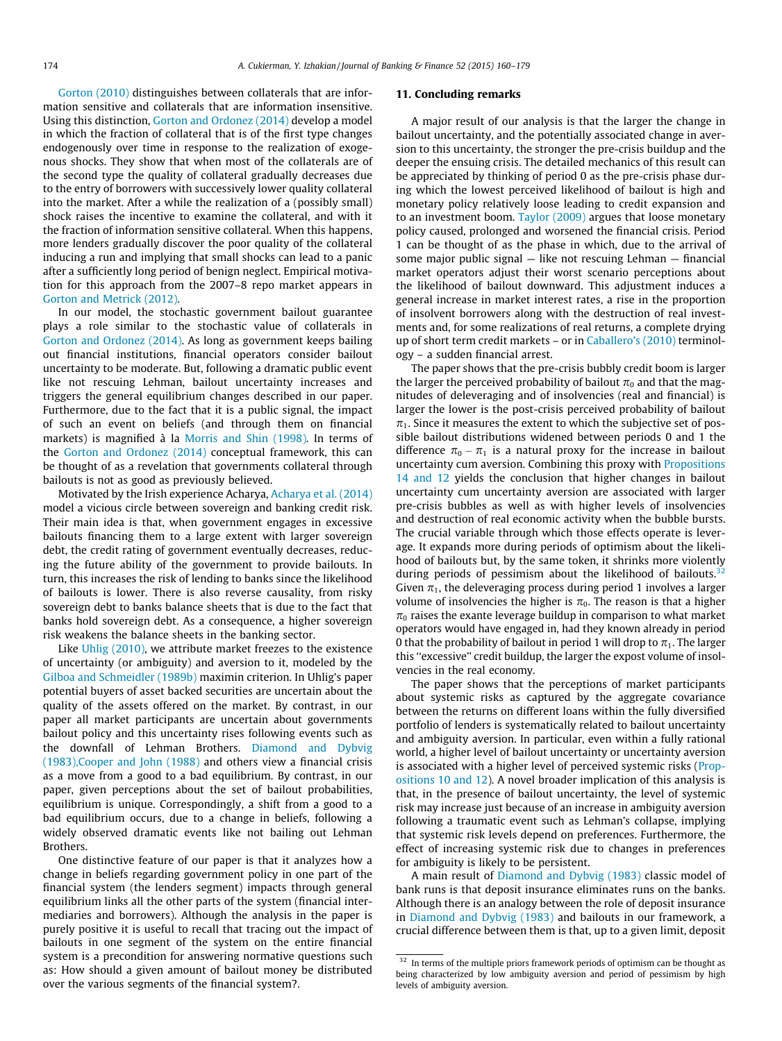<span id="page-14-0"></span>[Gorton \(2010\)](#page-18-0) distinguishes between collaterals that are information sensitive and collaterals that are information insensitive. Using this distinction, [Gorton and Ordonez \(2014\)](#page-18-0) develop a model in which the fraction of collateral that is of the first type changes endogenously over time in response to the realization of exogenous shocks. They show that when most of the collaterals are of the second type the quality of collateral gradually decreases due to the entry of borrowers with successively lower quality collateral into the market. After a while the realization of a (possibly small) shock raises the incentive to examine the collateral, and with it the fraction of information sensitive collateral. When this happens, more lenders gradually discover the poor quality of the collateral inducing a run and implying that small shocks can lead to a panic after a sufficiently long period of benign neglect. Empirical motivation for this approach from the 2007–8 repo market appears in [Gorton and Metrick \(2012\)](#page-18-0).

In our model, the stochastic government bailout guarantee plays a role similar to the stochastic value of collaterals in [Gorton and Ordonez \(2014\)](#page-18-0). As long as government keeps bailing out financial institutions, financial operators consider bailout uncertainty to be moderate. But, following a dramatic public event like not rescuing Lehman, bailout uncertainty increases and triggers the general equilibrium changes described in our paper. Furthermore, due to the fact that it is a public signal, the impact of such an event on beliefs (and through them on financial markets) is magnified à la [Morris and Shin \(1998\)](#page-18-0). In terms of the [Gorton and Ordonez \(2014\)](#page-18-0) conceptual framework, this can be thought of as a revelation that governments collateral through bailouts is not as good as previously believed.

Motivated by the Irish experience Acharya, [Acharya et al. \(2014\)](#page-18-0) model a vicious circle between sovereign and banking credit risk. Their main idea is that, when government engages in excessive bailouts financing them to a large extent with larger sovereign debt, the credit rating of government eventually decreases, reducing the future ability of the government to provide bailouts. In turn, this increases the risk of lending to banks since the likelihood of bailouts is lower. There is also reverse causality, from risky sovereign debt to banks balance sheets that is due to the fact that banks hold sovereign debt. As a consequence, a higher sovereign risk weakens the balance sheets in the banking sector.

Like [Uhlig \(2010\)](#page-18-0), we attribute market freezes to the existence of uncertainty (or ambiguity) and aversion to it, modeled by the [Gilboa and Schmeidler \(1989b\)](#page-18-0) maximin criterion. In Uhlig's paper potential buyers of asset backed securities are uncertain about the quality of the assets offered on the market. By contrast, in our paper all market participants are uncertain about governments bailout policy and this uncertainty rises following events such as the downfall of Lehman Brothers. [Diamond and Dybvig](#page-18-0) [\(1983\),Cooper and John \(1988\)](#page-18-0) and others view a financial crisis as a move from a good to a bad equilibrium. By contrast, in our paper, given perceptions about the set of bailout probabilities, equilibrium is unique. Correspondingly, a shift from a good to a bad equilibrium occurs, due to a change in beliefs, following a widely observed dramatic events like not bailing out Lehman Brothers.

One distinctive feature of our paper is that it analyzes how a change in beliefs regarding government policy in one part of the financial system (the lenders segment) impacts through general equilibrium links all the other parts of the system (financial intermediaries and borrowers). Although the analysis in the paper is purely positive it is useful to recall that tracing out the impact of bailouts in one segment of the system on the entire financial system is a precondition for answering normative questions such as: How should a given amount of bailout money be distributed over the various segments of the financial system?.

## 11. Concluding remarks

A major result of our analysis is that the larger the change in bailout uncertainty, and the potentially associated change in aversion to this uncertainty, the stronger the pre-crisis buildup and the deeper the ensuing crisis. The detailed mechanics of this result can be appreciated by thinking of period 0 as the pre-crisis phase during which the lowest perceived likelihood of bailout is high and monetary policy relatively loose leading to credit expansion and to an investment boom. [Taylor \(2009\)](#page-18-0) argues that loose monetary policy caused, prolonged and worsened the financial crisis. Period 1 can be thought of as the phase in which, due to the arrival of some major public signal — like not rescuing Lehman — financial market operators adjust their worst scenario perceptions about the likelihood of bailout downward. This adjustment induces a general increase in market interest rates, a rise in the proportion of insolvent borrowers along with the destruction of real investments and, for some realizations of real returns, a complete drying up of short term credit markets – or in [Caballero's \(2010\)](#page-18-0) terminology – a sudden financial arrest.

The paper shows that the pre-crisis bubbly credit boom is larger the larger the perceived probability of bailout  $\pi_0$  and that the magnitudes of deleveraging and of insolvencies (real and financial) is larger the lower is the post-crisis perceived probability of bailout  $\pi$ <sub>1</sub>. Since it measures the extent to which the subjective set of possible bailout distributions widened between periods 0 and 1 the difference  $\pi_0 - \pi_1$  is a natural proxy for the increase in bailout uncertainty cum aversion. Combining this proxy with [Propositions](#page-12-0) [14 and 12](#page-12-0) yields the conclusion that higher changes in bailout uncertainty cum uncertainty aversion are associated with larger pre-crisis bubbles as well as with higher levels of insolvencies and destruction of real economic activity when the bubble bursts. The crucial variable through which those effects operate is leverage. It expands more during periods of optimism about the likelihood of bailouts but, by the same token, it shrinks more violently during periods of pessimism about the likelihood of bailouts.<sup>32</sup> Given  $\pi_1$ , the deleveraging process during period 1 involves a larger volume of insolvencies the higher is  $\pi_0$ . The reason is that a higher  $\pi_0$  raises the exante leverage buildup in comparison to what market operators would have engaged in, had they known already in period 0 that the probability of bailout in period 1 will drop to  $\pi_1$ . The larger this "excessive" credit buildup, the larger the expost volume of insolvencies in the real economy.

The paper shows that the perceptions of market participants about systemic risks as captured by the aggregate covariance between the returns on different loans within the fully diversified portfolio of lenders is systematically related to bailout uncertainty and ambiguity aversion. In particular, even within a fully rational world, a higher level of bailout uncertainty or uncertainty aversion is associated with a higher level of perceived systemic risks [\(Prop](#page-9-0)[ositions 10 and 12\)](#page-9-0). A novel broader implication of this analysis is that, in the presence of bailout uncertainty, the level of systemic risk may increase just because of an increase in ambiguity aversion following a traumatic event such as Lehman's collapse, implying that systemic risk levels depend on preferences. Furthermore, the effect of increasing systemic risk due to changes in preferences for ambiguity is likely to be persistent.

A main result of [Diamond and Dybvig \(1983\)](#page-18-0) classic model of bank runs is that deposit insurance eliminates runs on the banks. Although there is an analogy between the role of deposit insurance in [Diamond and Dybvig \(1983\)](#page-18-0) and bailouts in our framework, a crucial difference between them is that, up to a given limit, deposit

 $32$  In terms of the multiple priors framework periods of optimism can be thought as being characterized by low ambiguity aversion and period of pessimism by high levels of ambiguity aversion.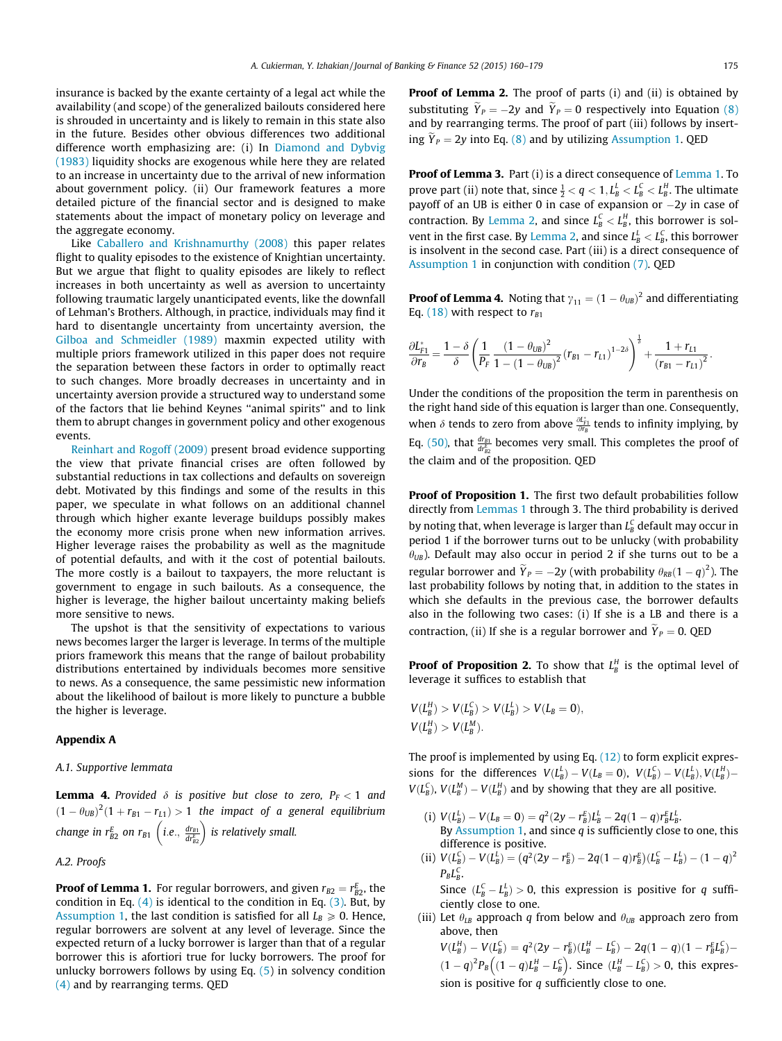<span id="page-15-0"></span>insurance is backed by the exante certainty of a legal act while the availability (and scope) of the generalized bailouts considered here is shrouded in uncertainty and is likely to remain in this state also in the future. Besides other obvious differences two additional difference worth emphasizing are: (i) In [Diamond and Dybvig](#page-18-0) [\(1983\)](#page-18-0) liquidity shocks are exogenous while here they are related to an increase in uncertainty due to the arrival of new information about government policy. (ii) Our framework features a more detailed picture of the financial sector and is designed to make statements about the impact of monetary policy on leverage and the aggregate economy.

Like [Caballero and Krishnamurthy \(2008\)](#page-18-0) this paper relates flight to quality episodes to the existence of Knightian uncertainty. But we argue that flight to quality episodes are likely to reflect increases in both uncertainty as well as aversion to uncertainty following traumatic largely unanticipated events, like the downfall of Lehman's Brothers. Although, in practice, individuals may find it hard to disentangle uncertainty from uncertainty aversion, the [Gilboa and Schmeidler \(1989\)](#page-18-0) maxmin expected utility with multiple priors framework utilized in this paper does not require the separation between these factors in order to optimally react to such changes. More broadly decreases in uncertainty and in uncertainty aversion provide a structured way to understand some of the factors that lie behind Keynes ''animal spirits'' and to link them to abrupt changes in government policy and other exogenous events.

[Reinhart and Rogoff \(2009\)](#page-18-0) present broad evidence supporting the view that private financial crises are often followed by substantial reductions in tax collections and defaults on sovereign debt. Motivated by this findings and some of the results in this paper, we speculate in what follows on an additional channel through which higher exante leverage buildups possibly makes the economy more crisis prone when new information arrives. Higher leverage raises the probability as well as the magnitude of potential defaults, and with it the cost of potential bailouts. The more costly is a bailout to taxpayers, the more reluctant is government to engage in such bailouts. As a consequence, the higher is leverage, the higher bailout uncertainty making beliefs more sensitive to news.

The upshot is that the sensitivity of expectations to various news becomes larger the larger is leverage. In terms of the multiple priors framework this means that the range of bailout probability distributions entertained by individuals becomes more sensitive to news. As a consequence, the same pessimistic new information about the likelihood of bailout is more likely to puncture a bubble the higher is leverage.

## Appendix A

#### A.1. Supportive lemmata

**Lemma 4.** Provided  $\delta$  is positive but close to zero,  $P_F < 1$  and  $(1 - \theta_{UB})^2 (1 + r_{B1} - r_{L1}) > 1$  the impact of a general equilibrium change in  $r_{B2}^E$  on  $r_{B1}$   $\left(i.e., \frac{dr_{B1}}{dr_{B2}^E}\right)$  $\frac{21}{2}$   $\sqrt{2}$ is relatively small.

A.2. Proofs

**Proof of Lemma 1.** For regular borrowers, and given  $r_{B2} = r_{B2}^E$ , the condition in Eq.  $(4)$  is identical to the condition in Eq.  $(3)$ . But, by [Assumption 1](#page-4-0), the last condition is satisfied for all  $L_B \ge 0$ . Hence, regular borrowers are solvent at any level of leverage. Since the expected return of a lucky borrower is larger than that of a regular borrower this is afortiori true for lucky borrowers. The proof for unlucky borrowers follows by using Eq. [\(5\)](#page-5-0) in solvency condition [\(4\)](#page-5-0) and by rearranging terms. QED

Proof of Lemma 2. The proof of parts (i) and (ii) is obtained by substituting  $Y_P = -2y$  and  $Y_P = 0$  respectively into Equation [\(8\)](#page-5-0) and by rearranging terms. The proof of part (iii) follows by inserting  $Y_P = 2y$  into Eq. [\(8\)](#page-5-0) and by utilizing [Assumption 1](#page-4-0). QED

Proof of Lemma 3. Part (i) is a direct consequence of [Lemma 1](#page-5-0). To prove part (ii) note that, since  $\frac{1}{2} < q < 1, L_{B}^{L} < L_{B}^{C} < L_{B}^{H}$ . The ultimate payoff of an UB is either 0 in case of expansion or  $-2y$  in case of contraction. By [Lemma 2,](#page-5-0) and since  $L_B^C < L_B^H$ , this borrower is sol-vent in the first case. By [Lemma 2,](#page-5-0) and since  $L_B^L < L_B^C$ , this borrower is insolvent in the second case. Part (iii) is a direct consequence of [Assumption 1](#page-4-0) in conjunction with condition [\(7\).](#page-5-0) QED

**Proof of Lemma 4.** Noting that  $\gamma_{11} = (1 - \theta_{UB})^2$  and differentiating Eq. [\(18\)](#page-8-0) with respect to  $r_{B1}$ 

$$
\frac{\partial L_{F1}^*}{\partial r_B} = \frac{1 - \delta}{\delta} \left( \frac{1}{P_F} \frac{\left(1 - \theta_{UB}\right)^2}{1 - \left(1 - \theta_{UB}\right)^2} (r_{B1} - r_{L1})^{1 - 2\delta} \right)^{\frac{1}{\delta}} + \frac{1 + r_{L1}}{(r_{B1} - r_{L1})^2}.
$$

Under the conditions of the proposition the term in parenthesis on the right hand side of this equation is larger than one. Consequently, when  $\delta$  tends to zero from above  $\frac{\partial L_{p_1}^*}{\partial r_B}$  tends to infinity implying, by Eq. [\(50\)](#page-17-0), that  $\frac{dr_{B1}}{dr_{B2}^E}$  becomes very small. This completes the proof of the claim and of the proposition. QED

Proof of Proposition 1. The first two default probabilities follow directly from [Lemmas 1](#page-5-0) through 3. The third probability is derived by noting that, when leverage is larger than  $L_{B}^{C}$  default may occur in period 1 if the borrower turns out to be unlucky (with probability  $\theta_{UB}$ ). Default may also occur in period 2 if she turns out to be a regular borrower and  $\widetilde{Y}_P = -2y$  (with probability  $\theta_{RB}(1-q)^2$ ). The last probability follows by noting that, in addition to the states in which she defaults in the previous case, the borrower defaults also in the following two cases: (i) If she is a LB and there is a contraction, (ii) If she is a regular borrower and  $Y_P = 0$ . QED

**Proof of Proposition 2.** To show that  $L_B^H$  is the optimal level of leverage it suffices to establish that

$$
V(L_B^H) > V(L_B^C) > V(L_B^L) > V(L_B = 0),
$$
  

$$
V(L_B^H) > V(L_B^M).
$$

The proof is implemented by using Eq.  $(12)$  to form explicit expressions for the differences  $V(L_B^L) - V(L_B = 0)$ ,  $V(L_B^C) - V(L_B^L)$ ,  $V(L_B^H)$  $V(L_{B}^{C})$ ,  $V(L_{B}^{M}) - V(L_{B}^{H})$  and by showing that they are all positive.

- (i)  $V(L_B^L) V(L_B = 0) = q^2(2y r_B^E)L_B^L 2q(1 q)r_B^E L_B^L$ By [Assumption 1](#page-4-0), and since  $q$  is sufficiently close to one, this difference is positive.
- (ii)  $V(L_p^L) V(L_p^L) = (q^2(2y r_B^E) 2q(1 q)r_B^E)(L_p^C L_p^L) (1 q)^2$  $P_B L_B^C$ .

Since  $(L_B^C - L_B^L) > 0$ , this expression is positive for q sufficiently close to one.

(iii) Let  $\theta_{LB}$  approach q from below and  $\theta_{UB}$  approach zero from above, then

 $V(L_B^H) - V(L_B^C) = q^2(2y - r_B^E)(L_B^H - L_B^C) - 2q(1 - q)(1 - r_B^E L_B^C) (1-q)^2 P_B ((1-q)L_B^H - L_B^C)$ . Since  $(L_B^H - L_B^C) > 0$ , this expression is positive for  $q$  sufficiently close to one.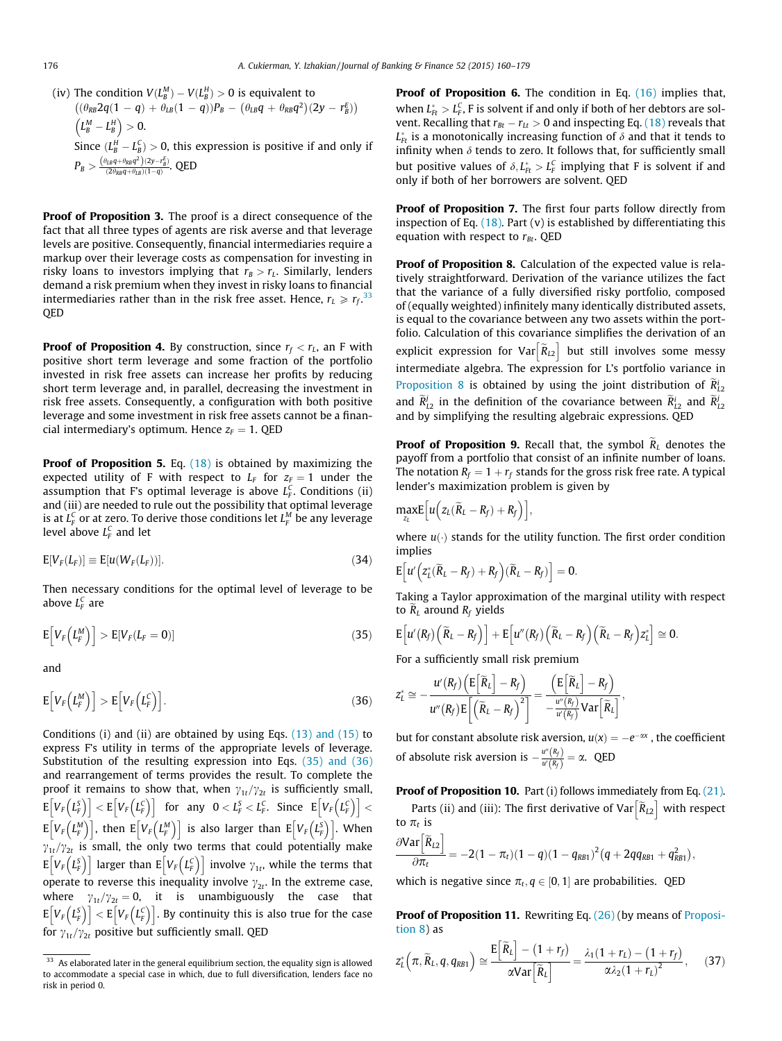(iv) The condition  $V(L_{B}^{M})-V(L_{B}^{H})>0$  is equivalent to

$$
((\theta_{RB} 2q(1-q) + \theta_{LB}(1-q))P_B - (\theta_{LB}q + \theta_{RB}q^2)(2y - r_B^E))
$$
  
\n
$$
(L_B^M - L_B^H) > 0.
$$
  
\nSince  $(L_B^H - L_B^C) > 0$ , this expression is positive if and only if  
\n
$$
P_B > \frac{(\theta_{LB}q + \theta_{RB}q^2)(2y - r_B^E)}{(2\theta_{RB}q + \theta_{LB})(1-q)}
$$
. QED

Proof of Proposition 3. The proof is a direct consequence of the fact that all three types of agents are risk averse and that leverage levels are positive. Consequently, financial intermediaries require a markup over their leverage costs as compensation for investing in risky loans to investors implying that  $r_B > r_L$ . Similarly, lenders demand a risk premium when they invest in risky loans to financial intermediaries rather than in the risk free asset. Hence,  $r_L \geqslant r_f.$  33 **OED** 

**Proof of Proposition 4.** By construction, since  $r_f < r_L$ , an F with positive short term leverage and some fraction of the portfolio invested in risk free assets can increase her profits by reducing short term leverage and, in parallel, decreasing the investment in risk free assets. Consequently, a configuration with both positive leverage and some investment in risk free assets cannot be a financial intermediary's optimum. Hence  $z_F = 1$ . QED

**Proof of Proposition 5.** Eq.  $(18)$  is obtained by maximizing the expected utility of F with respect to  $L_F$  for  $z_F = 1$  under the assumption that F's optimal leverage is above  $L_{F}^{\mathsf{C}}$ . Conditions (ii) and (iii) are needed to rule out the possibility that optimal leverage is at  $L_{F}^{\mathsf{C}}$  or at zero. To derive those conditions let  $L_{F}^{M}$  be any leverage level above  $L_{\text{F}}^{\text{C}}$  and let

$$
E[V_F(L_F)] \equiv E[u(W_F(L_F))]. \tag{34}
$$

Then necessary conditions for the optimal level of leverage to be above  $L_{F}^C$  are

$$
E[V_F\left(L_F^M\right)] > E[V_F(L_F = 0)] \tag{35}
$$

and

$$
E[V_F(L_F^M)] > E[V_F(L_F^C)].
$$
\n(36)

Conditions (i) and (ii) are obtained by using Eqs.  $(13)$  and  $(15)$  to express F's utility in terms of the appropriate levels of leverage. Substitution of the resulting expression into Eqs. (35) and (36) and rearrangement of terms provides the result. To complete the proof it remains to show that, when  $\gamma_{1t}/\gamma_{2t}$  is sufficiently small,  $\mathbb{E}\left[V_{F}\left(L_{F}^{\mathcal{L}}\right)\right] < \mathbb{E}\left[V_{F}\left(L_{F}^{\mathcal{L}}\right)\right]$  for any  $0 < L_{F}^{\mathcal{L}} < L_{F}^{\mathcal{L}}$ . Since  $\mathbb{E}\left[V_{F}\left(L_{F}^{\mathcal{L}}\right)\right] < L_{F}^{\mathcal{L}}$  $\mathbb{E}\big[V_F\big(L_F^N\big)\big]$ , then  $\mathbb{E}\big[V_F\big(L_F^M\big)\big]$  is also larger than  $\mathbb{E}\big[V_F\big(L_F^S\big)\big]$ . When  $\gamma_{1t}/\gamma_{2t}$  is small, the only two terms that could potentially make  $\mathbb{E}\left[V_F\left(L_F^S\right)\right]$  larger than  $\mathbb{E}\left[V_F\left(L_F^C\right)\right]$  involve  $\gamma_{1t}$ , while the terms that operate to reverse this inequality involve  $\gamma_{2t}$ . In the extreme case, where  $\gamma_{1t}/\gamma_{2t}=0$ , it is unambiguously the case that  $\mathbb{E}\left[V_F\left(L_F^{\mathcal{L}}\right)\right] < \mathbb{E}\left[V_F\left(L_F^{\mathcal{L}}\right)\right]$ . By continuity this is also true for the case for  $\gamma_{1t}/\gamma_{2t}$  positive but sufficiently small. QED

**Proof of Proposition 6.** The condition in Eq. [\(16\)](#page-7-0) implies that, when  $L_{Ft}^* > L_F^C$ , F is solvent if and only if both of her debtors are solvent. Recalling that  $r_{Bt} - r_{Lt} > 0$  and inspecting Eq. [\(18\)](#page-8-0) reveals that  $L_{Ft}^*$  is a monotonically increasing function of  $\delta$  and that it tends to infinity when  $\delta$  tends to zero. It follows that, for sufficiently small but positive values of  $\delta, L_{Ft}^* > L_F^C$  implying that F is solvent if and only if both of her borrowers are solvent. QED

Proof of Proposition 7. The first four parts follow directly from inspection of Eq.  $(18)$ . Part  $(v)$  is established by differentiating this equation with respect to  $r_{Bt}$ . QED

Proof of Proposition 8. Calculation of the expected value is relatively straightforward. Derivation of the variance utilizes the fact that the variance of a fully diversified risky portfolio, composed of (equally weighted) infinitely many identically distributed assets, is equal to the covariance between any two assets within the portfolio. Calculation of this covariance simplifies the derivation of an explicit expression for  $Var[\tilde{R}_{12}]$  but still involves some messy intermediate algebra. The expression for L's portfolio variance in [Proposition 8](#page-9-0) is obtained by using the joint distribution of  $R_{L2}^{i}$ and  $\tilde{R}_{L2}^j$  in the definition of the covariance between  $\tilde{R}_{L2}^i$  and  $\tilde{R}_{L2}^j$ and by simplifying the resulting algebraic expressions. QED

**Proof of Proposition 9.** Recall that, the symbol  $R_L$  denotes the payoff from a portfolio that consist of an infinite number of loans. The notation  $R_f = 1 + r_f$  stands for the gross risk free rate. A typical lender's maximization problem is given by

$$
\underset{z_L}{max} E\Big[u\Big(z_L(\widetilde{R}_L - R_f) + R_f\Big)\Big],
$$

where  $u(\cdot)$  stands for the utility function. The first order condition implies

$$
E\Big[u'\Big(z_L^*(\widetilde{R}_L-R_f)+R_f\Big)(\widetilde{R}_L-R_f)\Big]=0.
$$

Taking a Taylor approximation of the marginal utility with respect to  $R_L$  around  $R_f$  yields

$$
E\Big[u'(R_f)\Big(\widetilde{R}_L-R_f\Big)\Big]+E\Big[u''(R_f)\Big(\widetilde{R}_L-R_f\Big)\Big(\widetilde{R}_L-R_f\Big)z_L^*\Big]\cong 0.
$$

For a sufficiently small risk premium

$$
z_L^* \cong -\frac{u'(R_f)\left(\mathrm{E}\left[\widetilde{R}_L\right] - R_f\right)}{u''(R_f)\mathrm{E}\left[\left(\widetilde{R}_L - R_f\right)^2\right]} = \frac{\left(\mathrm{E}\left[\widetilde{R}_L\right] - R_f\right)}{-\frac{u''(R_f)}{u'(R_f)}}\mathrm{Var}\left[\widetilde{R}_L\right],
$$

but for constant absolute risk aversion,  $u(x) = -e^{-\alpha x}$ , the coefficient of absolute risk aversion is  $-\frac{u''(R_f)}{u'(R_f)} = \alpha$ . QED

Proof of Proposition 10. Part (i) follows immediately from Eq. [\(21\).](#page-9-0)

Parts (ii) and (iii): The first derivative of  $Var\left[\widetilde{R}_{L2}\right]$  with respect to  $\pi_t$  is  $r \approx -1$ 

$$
\frac{\partial \text{Var}\left[\tilde{R}_{L2}\right]}{\partial \pi_t} = -2(1-\pi_t)(1-q)(1-q_{RB1})^2(q+2qq_{RB1}+q_{RB1}^2),
$$

which is negative since  $\pi_t, q \in [0, 1]$  are probabilities. QED

Proof of Proposition 11. Rewriting Eq. [\(26\)](#page-9-0) (by means of [Proposi](#page-9-0)[tion 8](#page-9-0)) as  $r \sim 1$ 

$$
z_{L}^{*}\left(\pi,\widetilde{R}_{L},q,q_{RB1}\right)\cong\frac{\mathrm{E}\left[\widetilde{R}_{L}\right]-\left(1+r_{f}\right)}{\alpha\mathrm{Var}\left[\widetilde{R}_{L}\right]}=\frac{\lambda_{1}\left(1+r_{L}\right)-\left(1+r_{f}\right)}{\alpha\lambda_{2}\left(1+r_{L}\right)^{2}},\quad(37)
$$

 $\frac{33}{33}$  As elaborated later in the general equilibrium section, the equality sign is allowed to accommodate a special case in which, due to full diversification, lenders face no risk in period 0.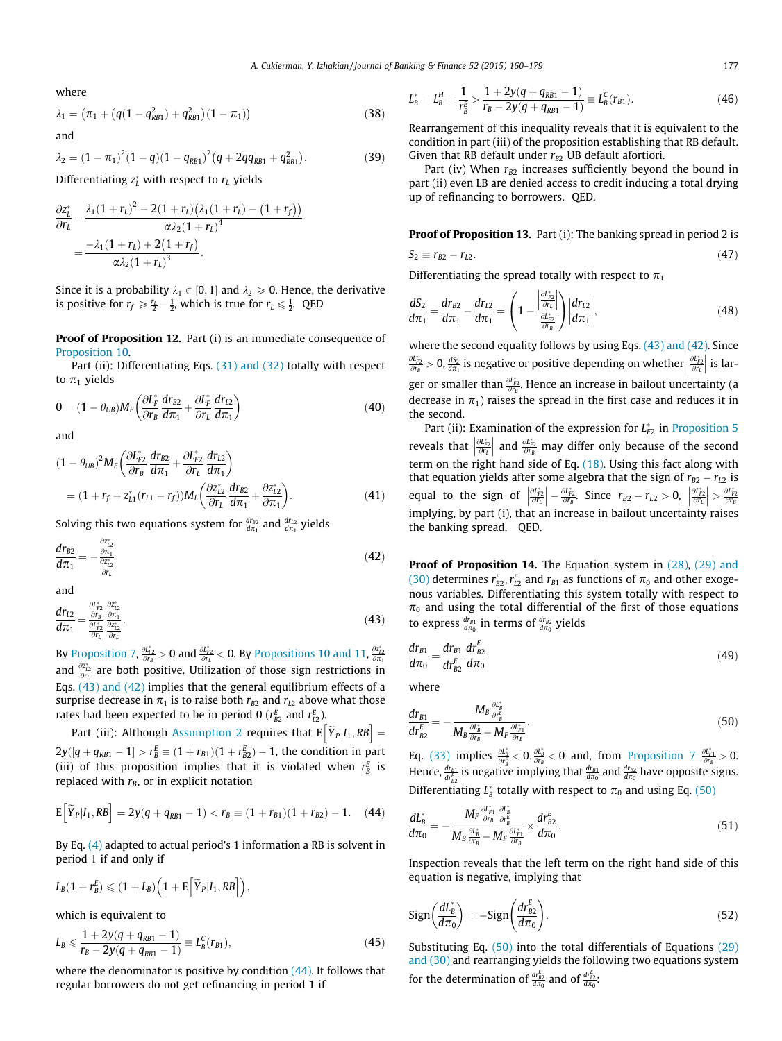<span id="page-17-0"></span>where

$$
\lambda_1 = \left(\pi_1 + \left(q(1 - q_{RB1}^2) + q_{RB1}^2\right)(1 - \pi_1)\right)
$$
\nand

\n
$$
(38)
$$

$$
\lambda_2 = (1 - \pi_1)^2 (1 - q)(1 - q_{RB1})^2 (q + 2qq_{RB1} + q_{RB1}^2).
$$
 (39)

Differentiating  $z^*_L$  with respect to  $r_L$  yields

$$
\frac{\partial z_l^*}{\partial r_L} = \frac{\lambda_1(1+r_L)^2 - 2(1+r_L)\left(\lambda_1(1+r_L) - (1+r_f)\right)}{\alpha\lambda_2(1+r_L)^4} = \frac{-\lambda_1(1+r_L) + 2(1+r_f)}{\alpha\lambda_2(1+r_L)^3}.
$$

Since it is a probability  $\lambda_1 \in [0, 1]$  and  $\lambda_2 \ge 0$ . Hence, the derivative is positive for  $r_f \ge \frac{r_L}{2} - \frac{1}{2}$ , which is true for  $r_L \le \frac{1}{2}$ . QED

## Proof of Proposition 12. Part (i) is an immediate consequence of [Proposition 10.](#page-9-0)

Part (ii): Differentiating Eqs. [\(31\) and \(32\)](#page-11-0) totally with respect to  $\pi_1$  yields

$$
0 = (1 - \theta_{UB})M_F \left( \frac{\partial L_F^*}{\partial r_B} \frac{dr_{B2}}{d\pi_1} + \frac{\partial L_F^*}{\partial r_L} \frac{dr_{L2}}{d\pi_1} \right)
$$
(40)

and

$$
(1 - \theta_{UB})^2 M_F \left( \frac{\partial L_{r2}^*}{\partial r_B} \frac{dr_{B2}}{d\pi_1} + \frac{\partial L_{r2}^*}{\partial r_L} \frac{dr_{L2}}{d\pi_1} \right)
$$
  
=  $(1 + r_f + z_{L1}^* (r_{L1} - r_f)) M_L \left( \frac{\partial z_{L2}^*}{\partial r_L} \frac{dr_{B2}}{d\pi_1} + \frac{\partial z_{L2}^*}{\partial \pi_1} \right).$  (41)

Solving this two equations system for  $\frac{dr_{B2}}{d\pi_1}$  and  $\frac{dr_{L2}}{d\pi_1}$  yields

$$
\frac{dr_{B2}}{d\pi_1} = -\frac{\frac{\partial z_{L2}}{\partial \pi_1}}{\frac{\partial z_{L2}}{\partial r_L}}\tag{42}
$$

and

$$
\frac{dr_{L2}}{d\pi_1} = \frac{\frac{\partial L_{L2}^*}{\partial r_B} \frac{\partial z_{L2}^*}{\partial r_1}}{\frac{\partial L_{L2}^*}{\partial r_L}}.
$$
(43)

By [Proposition 7,](#page-8-0)  $\frac{\partial L_{\text{P2}}}{\partial r_{\text{B}}} > 0$  and  $\frac{\partial L_{\text{P2}}}{\partial r_{\text{L}}} < 0$ . By [Propositions 10 and 11](#page-9-0),  $\frac{\partial Z_{\text{D}}}{\partial r_{\text{I}}}$  and  $\frac{\partial Z_{\text{D}}}{\partial r_{\text{L}}}$  are both positive. Utilization of those sign restrictions in Eqs. (43) and (42) implies that the general equilibrium effects of a surprise decrease in  $\pi_1$  is to raise both  $r_{B2}$  and  $r_{L2}$  above what those rates had been expected to be in period 0 ( $r_{B2}^E$  and  $r_{L2}^E$ ).

Part (iii): Although [Assumption 2](#page-5-0) requires that  $E[\tilde{Y}_P|I_1,RB] =$  $2y([q + q_{RB1} - 1] > r_B^E \equiv (1 + r_{B1})(1 + r_{B2}^E) - 1$ , the condition in part (iii) of this proposition implies that it is violated when  $r_B^E$  is replaced with  $r_B$ , or in explicit notation

$$
E\Big[\widetilde{Y}_P|I_1,RB\Big] = 2y(q+q_{RB1}-1) < r_B \equiv (1+r_{B1})(1+r_{B2})-1. \quad (44)
$$

By Eq. [\(4\)](#page-5-0) adapted to actual period's 1 information a RB is solvent in period 1 if and only if

$$
L_B(1+r_B^E)\leqslant (1+L_B)\Big(1+E\Big[\widetilde{Y}_P|I_1,RB\Big]\Big),
$$

which is equivalent to

$$
L_B \leqslant \frac{1 + 2y(q + q_{RB1} - 1)}{r_B - 2y(q + q_{RB1} - 1)} \equiv L_B^C(r_{B1}),
$$
\n(45)

where the denominator is positive by condition  $(44)$ . It follows that regular borrowers do not get refinancing in period 1 if

$$
L_B^* = L_B^H = \frac{1}{r_B^E} > \frac{1 + 2y(q + q_{RB1} - 1)}{r_B - 2y(q + q_{RB1} - 1)} \equiv L_B^C(r_{B1}).
$$
\n(46)

Rearrangement of this inequality reveals that it is equivalent to the condition in part (iii) of the proposition establishing that RB default. Given that RB default under  $r_{B2}$  UB default afortiori.

Part (iv) When  $r_{B2}$  increases sufficiently beyond the bound in part (ii) even LB are denied access to credit inducing a total drying up of refinancing to borrowers. QED.

Proof of Proposition 13. Part (i): The banking spread in period 2 is

$$
S_2 \equiv r_{B2} - r_{L2}.\tag{47}
$$

Differentiating the spread totally with respect to  $\pi_1$ 

$$
\frac{dS_2}{d\pi_1} = \frac{dr_{B2}}{d\pi_1} - \frac{dr_{L2}}{d\pi_1} = \left(1 - \frac{\left|\frac{\partial L_{F2}^*}{\partial r_L}\right|}{\frac{\partial L_{F2}^*}{\partial r_B}}\right) \left|\frac{dr_{L2}}{d\pi_1}\right|,\tag{48}
$$

where the second equality follows by using Eqs. (43) and (42). Since  $\frac{\partial l_{r2}^*}{\partial r_B} > 0$ ,  $\frac{dS_2}{d\pi_1}$  is negative or positive depending on whether  $\left| \frac{\partial l_{r2}^*}{\partial r_L} \right|$ j  $\int$  is larger or smaller than  $\frac{\partial L_{\bar{r}_2}}{\partial r_B}.$  Hence an increase in bailout uncertainty (a decrease in  $\pi_1$ ) raises the spread in the first case and reduces it in the second.

Part (ii): Examination of the expression for  $L_{F2}^*$  in [Proposition 5](#page-7-0) reveals that  $\left|\frac{\partial L_{F2}^*}{\partial r_L}\right|$  $\overline{1}$ and  $\frac{\partial L_{P_2}}{\partial r_B}$  may differ only because of the second term on the right hand side of Eq. [\(18\).](#page-8-0) Using this fact along with that equation yields after some algebra that the sign of  $r_{B2} - r_{L2}$  is equal to the sign of  $\left|\frac{\partial L_{F2}^*}{\partial r_L}\right|$  $\begin{array}{c} \begin{array}{c} \begin{array}{c} \end{array} \\ \begin{array}{c} \end{array} \end{array} \end{array}$  $-\frac{\partial L_{F2}^*}{\partial r_B}$ . Since  $r_{B2} - r_{L2} > 0$ ,  $\left| \frac{\partial L_{F2}^*}{\partial r_L} \right|$  $\begin{array}{c} \begin{array}{c} \begin{array}{c} \end{array} \end{array} \end{array}$  $\left| > \frac{\partial L_{F2}^*}{\partial r_B} \right|$ implying, by part (i), that an increase in bailout uncertainty raises the banking spread. QED.

**Proof of Proposition 14.** The Equation system in [\(28\)](#page-10-0), [\(29\) and](#page-10-0) [\(30\)](#page-10-0) determines  $r_{B2}^E$ ,  $r_{L2}^E$  and  $r_{B1}$  as functions of  $\pi_0$  and other exogenous variables. Differentiating this system totally with respect to  $\pi_0$  and using the total differential of the first of those equations to express  $\frac{dr_{B1}}{d\pi_0}$  in terms of  $\frac{dr_{B2}}{d\pi_0}$  yields

$$
\frac{dr_{B1}}{d\pi_0} = \frac{dr_{B1}}{dr_{B2}^E} \frac{dr_{B2}^E}{d\pi_0} \tag{49}
$$

where

$$
\frac{dr_{B1}}{dr_{B2}^E} = -\frac{M_B \frac{\partial L_B^*}{\partial r_B^E}}{M_B \frac{\partial L_B^*}{\partial r_B} - M_F \frac{\partial L_{F1}^*}{\partial r_B}}.
$$
\n(50)

Eq. [\(33\)](#page-12-0) implies  $\frac{\partial L^*_B}{\partial r^E_B} < 0$ ,  $\frac{\partial L^*_B}{\partial r_B} < 0$  and, from [Proposition 7](#page-8-0)  $\frac{\partial L^*_{F1}}{\partial r_B} > 0$ . Hence,  $\frac{dr_{B1}}{dr_{B2}^E}$  is negative implying that  $\frac{dr_{B1}}{d\pi_0}$  and  $\frac{dr_{B2}}{d\pi_0}$  have opposite signs. Differentiating  $L^*_B$  totally with respect to  $\pi_0$  and using Eq. (50)

$$
\frac{dL_B^*}{d\pi_0} = -\frac{M_F \frac{\partial L_{F_1}^*}{\partial r_B} \frac{\partial L_{B}^*}{\partial r_E^*}}{M_B \frac{\partial L_{B}^*}{\partial r_B} - M_F \frac{\partial L_{F_1}^*}{\partial r_B}} \times \frac{d r_{B2}^E}{d\pi_0}.
$$
\n(51)

Inspection reveals that the left term on the right hand side of this equation is negative, implying that

$$
\text{Sign}\left(\frac{dL_B^*}{d\pi_0}\right) = -\text{Sign}\left(\frac{dr_{B2}^E}{d\pi_0}\right). \tag{52}
$$

Substituting Eq. (50) into the total differentials of Equations [\(29\)](#page-10-0) [and \(30\)](#page-10-0) and rearranging yields the following two equations system for the determination of  $\frac{dr_{B2}^E}{d\pi_0}$  and of  $\frac{dr_{L2}^E}{d\pi_0}$ :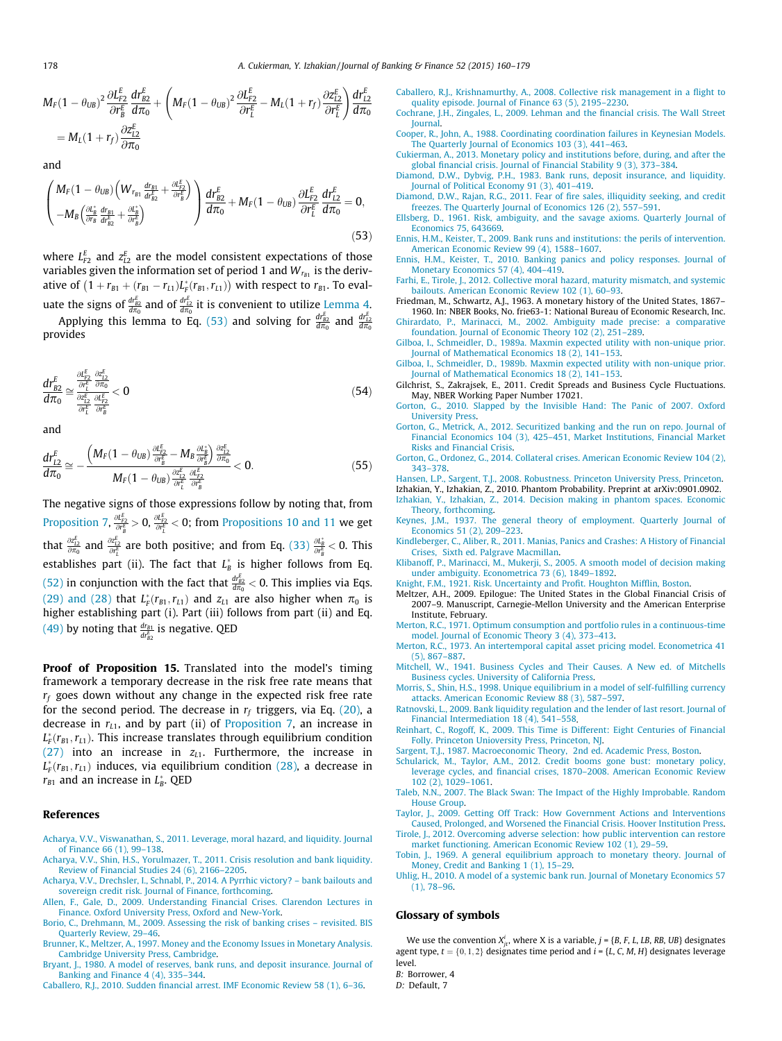<span id="page-18-0"></span>
$$
\begin{aligned} &M_F(1-\theta_{UB})^2\frac{\partial L_{F2}^E}{\partial r_B^E}\frac{dr_{B2}^E}{d\pi_0}+\left(M_F(1-\theta_{UB})^2\frac{\partial L_{F2}^E}{\partial r_L^E}-M_L(1+r_f)\frac{\partial z_{L2}^E}{\partial r_L^E}\right)\frac{dr_{L2}^E}{d\pi_0}\\ &=M_L(1+r_f)\frac{\partial z_{L2}^E}{\partial \pi_0} \end{aligned}
$$

and

$$
\begin{pmatrix}\nM_F(1-\theta_{UB})\left(W_{r_{B1}}\frac{dr_{B1}}{dr_{B2}^F}+\frac{\partial L_{\tilde{F}^E}^E}{\partial r_{B}^F}\right) \\
-M_B\left(\frac{\partial L_B^*}{\partial r_B}\frac{dr_{B1}}{dr_{B2}^F}+\frac{\partial L_B^*}{\partial r_{B}^F}\right)\n\end{pmatrix}\n\frac{dr_{B2}^E}{d\pi_0} + M_F(1-\theta_{UB})\frac{\partial L_{F2}^E}{\partial r_L^F}\frac{dr_{L2}^E}{d\pi_0} = 0,\n\tag{53}
$$

where  $L_{F2}^E$  and  $z_{L2}^E$  are the model consistent expectations of those variables given the information set of period 1 and  $W_{r_{B1}}$  is the derivative of  $(1 + r_{B1} + (r_{B1} - r_{L1})L_F^*(r_{B1}, r_{L1}))$  with respect to  $r_{B1}$ . To eval-

uate the signs of  $\frac{dF_{B2}^E}{d\pi_0}$  and of  $\frac{dF_{B2}^E}{d\pi_0}$  it is convenient to utilize [Lemma 4](#page-15-0). Applying this lemma to Eq. (53) and solving for  $\frac{dr_{B2}^E}{dT_0}$  and  $\frac{dr_{12}^E}{dT_0}$ provides

$$
\frac{dr_{B2}^{E}}{d\pi_{0}} \approx \frac{\frac{\partial l_{F2}^{E}}{\partial r_{L}^{E}} \frac{\partial z_{L2}^{E}}{\partial \pi_{0}}}{\frac{\partial z_{L2}^{E}}{\partial r_{E}^{E}} \frac{\partial l_{F2}^{E}}{\partial r_{B}^{E}}} < 0
$$
\n(54)

and

$$
\frac{dr_{L2}^{E}}{d\pi_{0}} \simeq -\frac{\left(M_{F}(1-\theta_{UB})\frac{\partial L_{P}^{E}}{\partial r_{B}^{E}} - M_{B}\frac{\partial L_{B}^{E}}{\partial r_{B}^{E}}\right)\frac{\partial z_{L2}^{E}}{\partial r_{0}}}{M_{F}(1-\theta_{UB})\frac{\partial z_{L2}^{E}}{\partial r_{B}^{E}}}\frac{\partial L_{P}^{E}}{\partial r_{B}^{E}}}<0.
$$
\n(55)

The negative signs of those expressions follow by noting that, from [Proposition 7,](#page-8-0)  $\frac{\partial l_{F2}^E}{\partial r_E^E} > 0$ ,  $\frac{\partial l_{F2}^E}{\partial r_L^E} < 0$ ; from [Propositions 10 and 11](#page-9-0) we get that  $\frac{\partial z^E_D}{\partial \pi_0}$  and  $\frac{\partial z^E_D}{\partial r^E_L}$  are both positive; and from Eq. [\(33\)](#page-12-0)  $\frac{\partial l^*_B}{\partial r^E_B}$  < 0. This establishes part (ii). The fact that  $L_B^*$  is higher follows from Eq. [\(52\)](#page-17-0) in conjunction with the fact that  $\frac{dr_{B2}^E}{d\pi_0} < 0$ . This implies via Eqs. [\(29\) and \(28\)](#page-10-0) that  $L^*_F(r_{B1}, r_{L1})$  and  $z_{L1}$  are also higher when  $\pi_0$  is higher establishing part (i). Part (iii) follows from part (ii) and Eq. [\(49\)](#page-17-0) by noting that  $\frac{dr_{B1}}{dr_{B2}^E}$  is negative. QED

Proof of Proposition 15. Translated into the model's timing framework a temporary decrease in the risk free rate means that  $r_f$  goes down without any change in the expected risk free rate for the second period. The decrease in  $r_f$  triggers, via Eq. [\(20\)](#page-8-0), a decrease in  $r_{L1}$ , and by part (ii) of [Proposition 7](#page-8-0), an increase in  $L_F^*(r_{B1}, r_{L1})$ . This increase translates through equilibrium condition  $(27)$  into an increase in  $z_{L1}$ . Furthermore, the increase in  $L_F^*(r_{B1}, r_{L1})$  induces, via equilibrium condition [\(28\)](#page-10-0), a decrease in  $r_{B1}$  and an increase in  $L_B^*$ . QED

#### References

- [Acharya, V.V., Viswanathan, S., 2011. Leverage, moral hazard, and liquidity. Journal](http://refhub.elsevier.com/S0378-4266(14)00285-4/h0005) [of Finance 66 \(1\), 99–138.](http://refhub.elsevier.com/S0378-4266(14)00285-4/h0005)
- [Acharya, V.V., Shin, H.S., Yorulmazer, T., 2011. Crisis resolution and bank liquidity.](http://refhub.elsevier.com/S0378-4266(14)00285-4/h0010) [Review of Financial Studies 24 \(6\), 2166–2205](http://refhub.elsevier.com/S0378-4266(14)00285-4/h0010).
- [Acharya, V.V., Drechsler, I., Schnabl, P., 2014. A Pyrrhic victory? bank bailouts and](http://refhub.elsevier.com/S0378-4266(14)00285-4/h0015) [sovereign credit risk. Journal of Finance, forthcoming](http://refhub.elsevier.com/S0378-4266(14)00285-4/h0015).
- [Allen, F., Gale, D., 2009. Understanding Financial Crises. Clarendon Lectures in](http://refhub.elsevier.com/S0378-4266(14)00285-4/h0020) [Finance. Oxford University Press, Oxford and New-York.](http://refhub.elsevier.com/S0378-4266(14)00285-4/h0020)
- [Borio, C., Drehmann, M., 2009. Assessing the risk of banking crises revisited. BIS](http://refhub.elsevier.com/S0378-4266(14)00285-4/h0025) [Quarterly Review, 29–46](http://refhub.elsevier.com/S0378-4266(14)00285-4/h0025).
- [Brunner, K., Meltzer, A., 1997. Money and the Economy Issues in Monetary Analysis.](http://refhub.elsevier.com/S0378-4266(14)00285-4/h0030) [Cambridge University Press, Cambridge.](http://refhub.elsevier.com/S0378-4266(14)00285-4/h0030)

[Bryant, J., 1980. A model of reserves, bank runs, and deposit insurance. Journal of](http://refhub.elsevier.com/S0378-4266(14)00285-4/h0035) [Banking and Finance 4 \(4\), 335–344.](http://refhub.elsevier.com/S0378-4266(14)00285-4/h0035)

[Caballero, R.J., 2010. Sudden financial arrest. IMF Economic Review 58 \(1\), 6–36.](http://refhub.elsevier.com/S0378-4266(14)00285-4/h0040)

- [Caballero, R.J., Krishnamurthy, A., 2008. Collective risk management in a flight to](http://refhub.elsevier.com/S0378-4266(14)00285-4/h0045) [quality episode. Journal of Finance 63 \(5\), 2195–2230](http://refhub.elsevier.com/S0378-4266(14)00285-4/h0045).
- [Cochrane, J.H., Zingales, L., 2009. Lehman and the financial crisis. The Wall Street](http://refhub.elsevier.com/S0378-4266(14)00285-4/h0050) [Journal](http://refhub.elsevier.com/S0378-4266(14)00285-4/h0050).
- [Cooper, R., John, A., 1988. Coordinating coordination failures in Keynesian Models.](http://refhub.elsevier.com/S0378-4266(14)00285-4/h0055) [The Quarterly Journal of Economics 103 \(3\), 441–463](http://refhub.elsevier.com/S0378-4266(14)00285-4/h0055).
- [Cukierman, A., 2013. Monetary policy and institutions before, during, and after the](http://refhub.elsevier.com/S0378-4266(14)00285-4/h0060) [global financial crisis. Journal of Financial Stability 9 \(3\), 373–384.](http://refhub.elsevier.com/S0378-4266(14)00285-4/h0060)
- [Diamond, D.W., Dybvig, P.H., 1983. Bank runs, deposit insurance, and liquidity.](http://refhub.elsevier.com/S0378-4266(14)00285-4/h0065) [Journal of Political Economy 91 \(3\), 401–419](http://refhub.elsevier.com/S0378-4266(14)00285-4/h0065).
- [Diamond, D.W., Rajan, R.G., 2011. Fear of fire sales, illiquidity seeking, and credit](http://refhub.elsevier.com/S0378-4266(14)00285-4/h0070) [freezes. The Quarterly Journal of Economics 126 \(2\), 557–591.](http://refhub.elsevier.com/S0378-4266(14)00285-4/h0070)
- [Ellsberg, D., 1961. Risk, ambiguity, and the savage axioms. Quarterly Journal of](http://refhub.elsevier.com/S0378-4266(14)00285-4/h0075) [Economics 75, 643669](http://refhub.elsevier.com/S0378-4266(14)00285-4/h0075).
- [Ennis, H.M., Keister, T., 2009. Bank runs and institutions: the perils of intervention.](http://refhub.elsevier.com/S0378-4266(14)00285-4/h0080) [American Economic Review 99 \(4\), 1588–1607.](http://refhub.elsevier.com/S0378-4266(14)00285-4/h0080)
- [Ennis, H.M., Keister, T., 2010. Banking panics and policy responses. Journal of](http://refhub.elsevier.com/S0378-4266(14)00285-4/h0085) [Monetary Economics 57 \(4\), 404–419](http://refhub.elsevier.com/S0378-4266(14)00285-4/h0085).
- [Farhi, E., Tirole, J., 2012. Collective moral hazard, maturity mismatch, and systemic](http://refhub.elsevier.com/S0378-4266(14)00285-4/h0090) [bailouts. American Economic Review 102 \(1\), 60–93.](http://refhub.elsevier.com/S0378-4266(14)00285-4/h0090)
- Friedman, M., Schwartz, A.J., 1963. A monetary history of the United States, 1867– 1960. In: NBER Books, No. frie63-1: National Bureau of Economic Research, Inc.
- [Ghirardato, P., Marinacci, M., 2002. Ambiguity made precise: a comparative](http://refhub.elsevier.com/S0378-4266(14)00285-4/h0100) [foundation. Journal of Economic Theory 102 \(2\), 251–289](http://refhub.elsevier.com/S0378-4266(14)00285-4/h0100).
- [Gilboa, I., Schmeidler, D., 1989a. Maxmin expected utility with non-unique prior.](http://refhub.elsevier.com/S0378-4266(14)00285-4/h0105) [Journal of Mathematical Economics 18 \(2\), 141–153](http://refhub.elsevier.com/S0378-4266(14)00285-4/h0105).
- [Gilboa, I., Schmeidler, D., 1989b. Maxmin expected utility with non-unique prior.](http://refhub.elsevier.com/S0378-4266(14)00285-4/h0110) [Journal of Mathematical Economics 18 \(2\), 141–153](http://refhub.elsevier.com/S0378-4266(14)00285-4/h0110).
- Gilchrist, S., Zakrajsek, E., 2011. Credit Spreads and Business Cycle Fluctuations. May, NBER Working Paper Number 17021.
- [Gorton, G., 2010. Slapped by the Invisible Hand: The Panic of 2007. Oxford](http://refhub.elsevier.com/S0378-4266(14)00285-4/h0120) [University Press.](http://refhub.elsevier.com/S0378-4266(14)00285-4/h0120)
- [Gorton, G., Metrick, A., 2012. Securitized banking and the run on repo. Journal of](http://refhub.elsevier.com/S0378-4266(14)00285-4/h0125) [Financial Economics 104 \(3\), 425–451, Market Institutions, Financial Market](http://refhub.elsevier.com/S0378-4266(14)00285-4/h0125) [Risks and Financial Crisis](http://refhub.elsevier.com/S0378-4266(14)00285-4/h0125).
- [Gorton, G., Ordonez, G., 2014. Collateral crises. American Economic Review 104 \(2\),](http://refhub.elsevier.com/S0378-4266(14)00285-4/h0130) [343–378](http://refhub.elsevier.com/S0378-4266(14)00285-4/h0130).
- [Hansen, L.P., Sargent, T.J., 2008. Robustness. Princeton University Press, Princeton.](http://refhub.elsevier.com/S0378-4266(14)00285-4/h0135)
- Izhakian, Y., Izhakian, Z., 2010. Phantom Probability. Preprint at arXiv:0901.0902.
- [Izhakian, Y., Izhakian, Z., 2014. Decision making in phantom spaces. Economic](http://refhub.elsevier.com/S0378-4266(14)00285-4/h0145) [Theory, forthcoming.](http://refhub.elsevier.com/S0378-4266(14)00285-4/h0145)
- [Keynes, J.M., 1937. The general theory of employment. Quarterly Journal of](http://refhub.elsevier.com/S0378-4266(14)00285-4/h0150) [Economics 51 \(2\), 209–223.](http://refhub.elsevier.com/S0378-4266(14)00285-4/h0150)
- [Kindleberger, C., Aliber, R., 2011. Manias, Panics and Crashes: A History of Financial](http://refhub.elsevier.com/S0378-4266(14)00285-4/h0155) [Crises, Sixth ed. Palgrave Macmillan.](http://refhub.elsevier.com/S0378-4266(14)00285-4/h0155)
- [Klibanoff, P., Marinacci, M., Mukerji, S., 2005. A smooth model of decision making](http://refhub.elsevier.com/S0378-4266(14)00285-4/h0160) [under ambiguity. Econometrica 73 \(6\), 1849–1892.](http://refhub.elsevier.com/S0378-4266(14)00285-4/h0160)
- [Knight, F.M., 1921. Risk. Uncertainty and Profit. Houghton Mifflin, Boston](http://refhub.elsevier.com/S0378-4266(14)00285-4/h0165).

Meltzer, A.H., 2009. Epilogue: The United States in the Global Financial Crisis of 2007–9. Manuscript, Carnegie-Mellon University and the American Enterprise Institute, February.

- [Merton, R.C., 1971. Optimum consumption and portfolio rules in a continuous-time](http://refhub.elsevier.com/S0378-4266(14)00285-4/h0175) [model. Journal of Economic Theory 3 \(4\), 373–413.](http://refhub.elsevier.com/S0378-4266(14)00285-4/h0175)
- [Merton, R.C., 1973. An intertemporal capital asset pricing model. Econometrica 41](http://refhub.elsevier.com/S0378-4266(14)00285-4/h0180) [\(5\), 867–887.](http://refhub.elsevier.com/S0378-4266(14)00285-4/h0180)
- [Mitchell, W., 1941. Business Cycles and Their Causes. A New ed. of Mitchells](http://refhub.elsevier.com/S0378-4266(14)00285-4/h0185) [Business cycles. University of California Press.](http://refhub.elsevier.com/S0378-4266(14)00285-4/h0185)
- [Morris, S., Shin, H.S., 1998. Unique equilibrium in a model of self-fulfilling currency](http://refhub.elsevier.com/S0378-4266(14)00285-4/h0190) [attacks. American Economic Review 88 \(3\), 587–597](http://refhub.elsevier.com/S0378-4266(14)00285-4/h0190).
- [Ratnovski, L., 2009. Bank liquidity regulation and the lender of last resort. Journal of](http://refhub.elsevier.com/S0378-4266(14)00285-4/h0195) [Financial Intermediation 18 \(4\), 541–558](http://refhub.elsevier.com/S0378-4266(14)00285-4/h0195).
- [Reinhart, C., Rogoff, K., 2009. This Time is Different: Eight Centuries of Financial](http://refhub.elsevier.com/S0378-4266(14)00285-4/h0200) [Folly. Princeton Unioversity Press, Princeton, NJ.](http://refhub.elsevier.com/S0378-4266(14)00285-4/h0200)
- [Sargent, T.J., 1987. Macroeconomic Theory, 2nd ed. Academic Press, Boston.](http://refhub.elsevier.com/S0378-4266(14)00285-4/h0205)
- [Schularick, M., Taylor, A.M., 2012. Credit booms gone bust: monetary policy,](http://refhub.elsevier.com/S0378-4266(14)00285-4/h0210) [leverage cycles, and financial crises, 1870–2008. American Economic Review](http://refhub.elsevier.com/S0378-4266(14)00285-4/h0210) [102 \(2\), 1029–1061.](http://refhub.elsevier.com/S0378-4266(14)00285-4/h0210)
- [Taleb, N.N., 2007. The Black Swan: The Impact of the Highly Improbable. Random](http://refhub.elsevier.com/S0378-4266(14)00285-4/h0215) [House Group](http://refhub.elsevier.com/S0378-4266(14)00285-4/h0215).
- [Taylor, J., 2009. Getting Off Track: How Government Actions and Interventions](http://refhub.elsevier.com/S0378-4266(14)00285-4/h0220) [Caused, Prolonged, and Worsened the Financial Crisis. Hoover Institution Press](http://refhub.elsevier.com/S0378-4266(14)00285-4/h0220).
- [Tirole, J., 2012. Overcoming adverse selection: how public intervention can restore](http://refhub.elsevier.com/S0378-4266(14)00285-4/h0225) [market functioning. American Economic Review 102 \(1\), 29–59](http://refhub.elsevier.com/S0378-4266(14)00285-4/h0225).
- [Tobin, J., 1969. A general equilibrium approach to monetary theory. Journal of](http://refhub.elsevier.com/S0378-4266(14)00285-4/h0230) [Money, Credit and Banking 1 \(1\), 15–29.](http://refhub.elsevier.com/S0378-4266(14)00285-4/h0230)
- [Uhlig, H., 2010. A model of a systemic bank run. Journal of Monetary Economics 57](http://refhub.elsevier.com/S0378-4266(14)00285-4/h0235) [\(1\), 78–96](http://refhub.elsevier.com/S0378-4266(14)00285-4/h0235).

#### Glossary of symbols

We use the convention  $X_{jt}^i$ , where X is a variable,  $j = \{B, F, L, LB, RB, UB\}$  designates agent type,  $t = \{0, 1, 2\}$  designates time period and  $i = \{L, C, M, H\}$  designates leverage level.

- B: Borrower, 4
- D: Default, 7